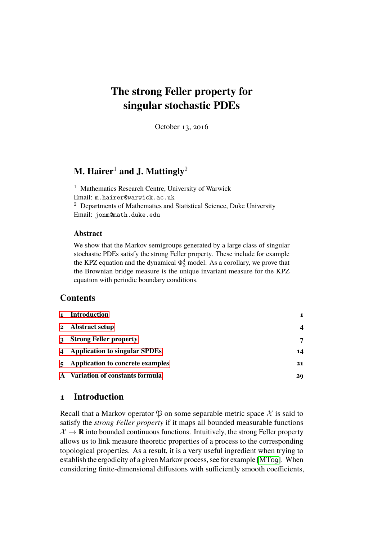# **The strong Feller property for singular stochastic PDEs**

October 13, 2016

# **M. Hairer<sup>1</sup> and J. Mattingly**<sup>2</sup>

<sup>1</sup> Mathematics Research Centre, University of Warwick Email: m.hairer@warwick.ac.uk <sup>2</sup> Departments of Mathematics and Statistical Science, Duke University Email: jonm@math.duke.edu

### **Abstract**

We show that the Markov semigroups generated by a large class of singular stochastic PDEs satisfy the strong Feller property. These include for example the KPZ equation and the dynamical  $\Phi_3^4$  model. As a corollary, we prove that the Brownian bridge measure is the unique invariant measure for the KPZ equation with periodic boundary conditions.

# **Contents**

| 2 Abstract setup<br>3 Strong Feller property<br>4 Application to singular SPDEs<br>5 Application to concrete examples<br>A Variation of constants formula | 1 Introduction |    |
|-----------------------------------------------------------------------------------------------------------------------------------------------------------|----------------|----|
|                                                                                                                                                           |                |    |
|                                                                                                                                                           |                | 7  |
|                                                                                                                                                           |                | 14 |
|                                                                                                                                                           |                | 21 |
|                                                                                                                                                           |                | 29 |

# <span id="page-0-0"></span>**1 Introduction**

Recall that a Markov operator  $\mathfrak P$  on some separable metric space X is said to satisfy the *strong Feller property* if it maps all bounded measurable functions  $\mathcal{X} \rightarrow \mathbf{R}$  into bounded continuous functions. Intuitively, the strong Feller property allows us to link measure theoretic properties of a process to the corresponding topological properties. As a result, it is a very useful ingredient when trying to establish the ergodicity of a given Markov process, see for example [\[MT09\]](#page-33-0). When considering finite-dimensional diffusions with sufficiently smooth coefficients,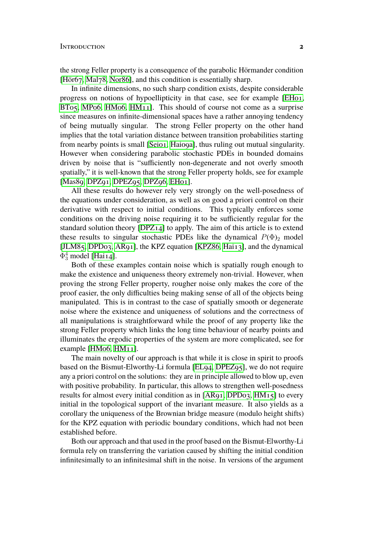the strong Feller property is a consequence of the parabolic Hörmander condition [\[Hör67,](#page-33-1) [Mal78,](#page-33-2) [Nor86\]](#page-33-3), and this condition is essentially sharp.

In infinite dimensions, no such sharp condition exists, despite considerable progress on notions of hypoellipticity in that case, see for example [\[EH01,](#page-31-0) [BT05,](#page-31-1) [MP06,](#page-33-4) [HM06,](#page-32-0) [HM11\]](#page-32-1). This should of course not come as a surprise since measures on infinite-dimensional spaces have a rather annoying tendency of being mutually singular. The strong Feller property on the other hand implies that the total variation distance between transition probabilities starting from nearby points is small [\[Sei01,](#page-34-0) [Hai09a\]](#page-32-2), thus ruling out mutual singularity. However when considering parabolic stochastic PDEs in bounded domains driven by noise that is "sufficiently non-degenerate and not overly smooth spatially," it is well-known that the strong Feller property holds, see for example [\[Mas89,](#page-33-5) [DPZ91,](#page-31-2) [DPEZ95,](#page-31-3) [DPZ96,](#page-31-4) [EH01\]](#page-31-0).

All these results do however rely very strongly on the well-posedness of the equations under consideration, as well as on good a priori control on their derivative with respect to initial conditions. This typically enforces some conditions on the driving noise requiring it to be sufficiently regular for the standard solution theory [\[DPZ14\]](#page-31-5) to apply. The aim of this article is to extend these results to singular stochastic PDEs like the dynamical  $P(\Phi)_{2}$  model [\[JLM85,](#page-33-6) [DPD03,](#page-31-6) [AR91\]](#page-30-0), the KPZ equation [\[KPZ86,](#page-33-7) [Hai13\]](#page-32-3), and the dynamical  $\Phi_3^4$  model [\[Hai14\]](#page-32-4).

Both of these examples contain noise which is spatially rough enough to make the existence and uniqueness theory extremely non-trivial. However, when proving the strong Feller property, rougher noise only makes the core of the proof easier, the only difficulties being making sense of all of the objects being manipulated. This is in contrast to the case of spatially smooth or degenerate noise where the existence and uniqueness of solutions and the correctness of all manipulations is straightforward while the proof of any property like the strong Feller property which links the long time behaviour of nearby points and illuminates the ergodic properties of the system are more complicated, see for example [\[HM06,](#page-32-0) [HM11\]](#page-32-1).

The main novelty of our approach is that while it is close in spirit to proofs based on the Bismut-Elworthy-Li formula [\[EL94,](#page-32-5) [DPEZ95\]](#page-31-3), we do not require any a priori control on the solutions: they are in principle allowed to blow up, even with positive probability. In particular, this allows to strengthen well-posedness results for almost every initial condition as in [\[AR91,](#page-30-0) [DPD03,](#page-31-6) [HM15\]](#page-32-6) to every initial in the topological support of the invariant measure. It also yields as a corollary the uniqueness of the Brownian bridge measure (modulo height shifts) for the KPZ equation with periodic boundary conditions, which had not been established before.

Both our approach and that used in the proof based on the Bismut-Elworthy-Li formula rely on transferring the variation caused by shifting the initial condition infinitesimally to an infinitesimal shift in the noise. In versions of the argument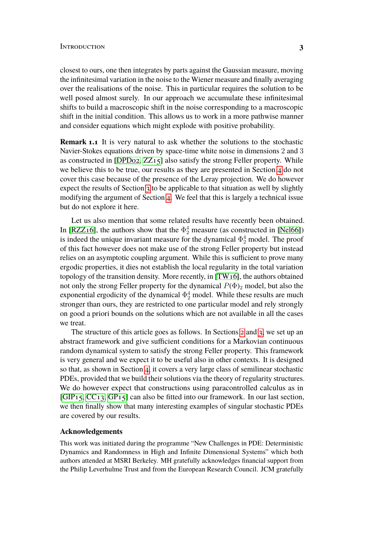#### INTRODUCTION 3

closest to ours, one then integrates by parts against the Gaussian measure, moving the infinitesimal variation in the noise to the Wiener measure and finally averaging over the realisations of the noise. This in particular requires the solution to be well posed almost surely. In our approach we accumulate these infinitesimal shifts to build a macroscopic shift in the noise corresponding to a macroscopic shift in the initial condition. This allows us to work in a more pathwise manner and consider equations which might explode with positive probability.

**Remark 1.1** It is very natural to ask whether the solutions to the stochastic Navier-Stokes equations driven by space-time white noise in dimensions 2 and 3 as constructed in [\[DPD02,](#page-31-7) [ZZ15\]](#page-34-1) also satisfy the strong Feller property. While we believe this to be true, our results as they are presented in Section [4](#page-13-0) do not cover this case because of the presence of the Leray projection. We do however expect the results of Section [3](#page-6-0) to be applicable to that situation as well by slightly modifying the argument of Section [4.](#page-13-0) We feel that this is largely a technical issue but do not explore it here.

Let us also mention that some related results have recently been obtained. In [RZZ<sub>16</sub>], the authors show that the  $\Phi_2^4$  measure (as constructed in [\[Nel66\]](#page-33-8)) is indeed the unique invariant measure for the dynamical  $\Phi_2^4$  model. The proof of this fact however does not make use of the strong Feller property but instead relies on an asymptotic coupling argument. While this is sufficient to prove many ergodic properties, it dies not establish the local regularity in the total variation topology of the transition density. More recently, in [\[TW16\]](#page-34-3), the authors obtained not only the strong Feller property for the dynamical  $P(\Phi)$ <sub>2</sub> model, but also the exponential ergodicity of the dynamical  $\Phi_2^4$  model. While these results are much stronger than ours, they are restricted to one particular model and rely strongly on good a priori bounds on the solutions which are not available in all the cases we treat.

The structure of this article goes as follows. In Sections [2](#page-3-0) and [3,](#page-6-0) we set up an abstract framework and give sufficient conditions for a Markovian continuous random dynamical system to satisfy the strong Feller property. This framework is very general and we expect it to be useful also in other contexts. It is designed so that, as shown in Section [4,](#page-13-0) it covers a very large class of semilinear stochastic PDEs, provided that we build their solutions via the theory of regularity structures. We do however expect that constructions using paracontrolled calculus as in [GIP<sub>15</sub>, CC<sub>13</sub>, GP<sub>15</sub>] can also be fitted into our framework. In our last section, we then finally show that many interesting examples of singular stochastic PDEs are covered by our results.

#### **Acknowledgements**

This work was initiated during the programme "New Challenges in PDE: Deterministic Dynamics and Randomness in High and Infinite Dimensional Systems" which both authors attended at MSRI Berkeley. MH gratefully acknowledges financial support from the Philip Leverhulme Trust and from the European Research Council. JCM gratefully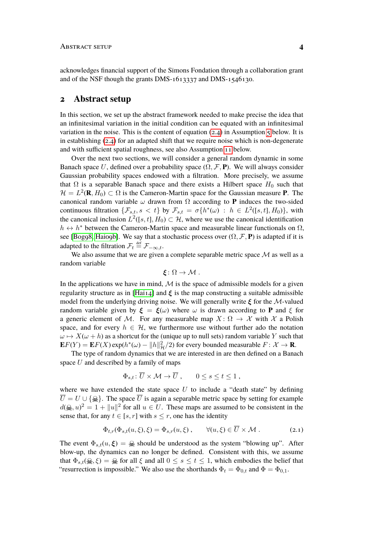#### ABSTRACT SETUP **4**

acknowledges financial support of the Simons Fondation through a collaboration grant and of the NSF though the grants DMS-1613337 and DMS-1546130.

### <span id="page-3-0"></span>**2 Abstract setup**

In this section, we set up the abstract framework needed to make precise the idea that an infinitesimal variation in the initial condition can be equated with an infinitesimal variation in the noise. This is the content of equation [\(2.4\)](#page-6-1) in Assumption  $\zeta$  below. It is in establishing [\(2.4\)](#page-6-1) for an adapted shift that we require noise which is non-degenerate and with sufficient spatial roughness, see also Assumption [11](#page-19-0) below.

Over the next two sections, we will consider a general random dynamic in some Banach space U, defined over a probability space  $(\Omega, \mathcal{F}, P)$ . We will always consider Gaussian probability spaces endowed with a filtration. More precisely, we assume that  $\Omega$  is a separable Banach space and there exists a Hilbert space  $H_0$  such that  $\mathcal{H} = L^2(\mathbf{R}, H_0) \subset \Omega$  is the Cameron-Martin space for the Gaussian measure **P**. The canonical random variable  $\omega$  drawn from  $\Omega$  according to **P** induces the two-sided continuous filtration  $\{\mathcal{F}_{s,t}, s < t\}$  by  $\mathcal{F}_{s,t} = \sigma\{h^*(\omega) : h \in L^2([s,t],H_0)\}$ , with the canonical inclusion  $L^2([s,t], H_0) \subset \mathcal{H}$ , where we use the canonical identification  $h \leftrightarrow h^*$  between the Cameron-Martin space and measurable linear functionals on  $\Omega$ , see [\[Bog98,](#page-31-9) [Hai09b\]](#page-32-9). We say that a stochastic process over  $(\Omega, \mathcal{F}, P)$  is adapted if it is adapted to the filtration  $\mathcal{F}_t \stackrel{\text{def}}{=} \mathcal{F}_{-\infty,t}$ .

We also assume that we are given a complete separable metric space  $M$  as well as a random variable

$$
\xi\colon\Omega\to\mathcal{M}.
$$

In the applications we have in mind,  $\mathcal M$  is the space of admissible models for a given regularity structure as in [\[Hai14\]](#page-32-4) and  $\xi$  is the map constructing a suitable admissible model from the underlying driving noise. We will generally write  $\xi$  for the M-valued random variable given by  $\xi = \xi(\omega)$  where  $\omega$  is drawn according to **P** and  $\xi$  for a generic element of M. For any measurable map  $X: \Omega \to \mathcal{X}$  with X a Polish space, and for every  $h \in \mathcal{H}$ , we furthermore use without further ado the notation  $\omega \mapsto X(\omega + h)$  as a shortcut for the (unique up to null sets) random variable Y such that  $\mathbf{E}F(Y) = \mathbf{E}F(X) \exp(h^*(\omega) - ||h||^2_{\mathcal{H}}/2)$  for every bounded measurable  $F: \mathcal{X} \to \mathbf{R}$ .

The type of random dynamics that we are interested in are then defined on a Banach space  $U$  and described by a family of maps

<span id="page-3-1"></span>
$$
\Phi_{s,t} \colon \overline{U} \times \mathcal{M} \to \overline{U} , \qquad 0 \le s \le t \le 1 ,
$$

where we have extended the state space  $U$  to include a "death state" by defining  $\overline{U} = U \cup \{\mathcal{Q}\}\$ . The space  $\overline{U}$  is again a separable metric space by setting for example  $d(\mathbf{R}, u)^2 = 1 + ||u||^2$  for all  $u \in U$ . These maps are assumed to be consistent in the sense that, for any  $t \in [s, r]$  with  $s \leq r$ , one has the identity

$$
\Phi_{t,r}(\Phi_{s,t}(u,\xi),\xi) = \Phi_{s,r}(u,\xi) , \qquad \forall (u,\xi) \in \overline{U} \times \mathcal{M} . \tag{2.1}
$$

The event  $\Phi_{s,t}(u,\xi) = \mathcal{Q}_s$  should be understood as the system "blowing up". After blow-up, the dynamics can no longer be defined. Consistent with this, we assume that  $\Phi_{s,t}(\mathcal{Q}, \xi) = \mathcal{Q}$  for all  $\xi$  and all  $0 \leq s \leq t \leq 1$ , which embodies the belief that "resurrection is impossible." We also use the shorthands  $\Phi_t = \Phi_{0,t}$  and  $\Phi = \Phi_{0,1}$ .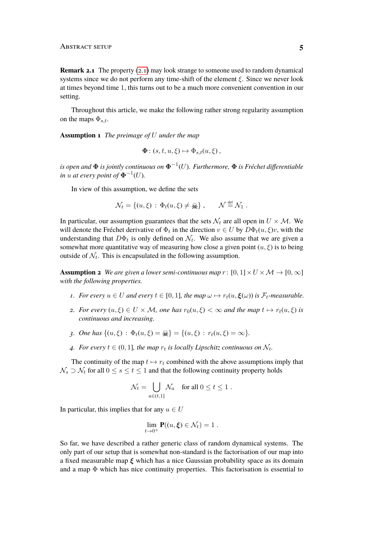**Remark 2.1** The property [\(2.1\)](#page-3-1) may look strange to someone used to random dynamical systems since we do not perform any time-shift of the element  $\xi$ . Since we never look at times beyond time 1, this turns out to be a much more convenient convention in our setting.

Throughout this article, we make the following rather strong regularity assumption on the maps  $\Phi_{s,t}$ .

<span id="page-4-1"></span>**Assumption 1** *The preimage of* U *under the map*

$$
\mathbf{\Phi}: (s, t, u, \xi) \mapsto \Phi_{s,t}(u, \xi) ,
$$

*is open and* Φ *is jointly continuous on* Φ−<sup>1</sup> (U)*. Furthermore,* Φ *is Fréchet differentiable in*  $u$  at every point of  $\mathbf{\Phi}^{-1}(U)$ .

In view of this assumption, we define the sets

$$
\mathcal{N}_t = \{(u,\xi) \,:\, \Phi_t(u,\xi) \neq \mathbf{R}\}, \qquad \mathcal{N} \stackrel{\text{def}}{=} \mathcal{N}_1 \;.
$$

In particular, our assumption guarantees that the sets  $\mathcal{N}_t$  are all open in  $U \times \mathcal{M}$ . We will denote the Fréchet derivative of  $\Phi_t$  in the direction  $v \in U$  by  $D\Phi_t(u,\xi)v$ , with the understanding that  $D\Phi_t$  is only defined on  $\mathcal{N}_t$ . We also assume that we are given a somewhat more quantitative way of measuring how close a given point  $(u, \xi)$  is to being outside of  $\mathcal{N}_t$ . This is encapsulated in the following assumption.

<span id="page-4-0"></span>**Assumption 2** *We are given a lower semi-continuous map*  $r : [0, 1] \times U \times M \rightarrow [0, \infty]$ *with the following properties.*

- *1. For every*  $u \in U$  *and every*  $t \in [0, 1]$ *, the map*  $\omega \mapsto r_t(u, \xi(\omega))$  *is*  $\mathcal{F}_t$ -measurable.
- *2. For every*  $(u, \xi) \in U \times M$ , one has  $r_0(u, \xi) < \infty$  and the map  $t \mapsto r_t(u, \xi)$  is *continuous and increasing.*
- *3. One has*  $\{(u, \xi) : \Phi_t(u, \xi) = \mathcal{Q}\} = \{(u, \xi) : r_t(u, \xi) = \infty\}.$
- 4. For every  $t \in (0,1]$ , the map  $r_t$  is locally Lipschitz continuous on  $\mathcal{N}_t$ .

The continuity of the map  $t \mapsto r_t$  combined with the above assumptions imply that  $\mathcal{N}_s \supset \mathcal{N}_t$  for all  $0 \leq s \leq t \leq 1$  and that the following continuity property holds

$$
\mathcal{N}_t = \bigcup_{a \in (t,1]} \mathcal{N}_a \quad \text{for all } 0 \le t \le 1 \; .
$$

In particular, this implies that for any  $u \in U$ 

$$
\lim_{t\to 0^+} \mathbf{P}((u,\xi)\in \mathcal{N}_t) = 1.
$$

So far, we have described a rather generic class of random dynamical systems. The only part of our setup that is somewhat non-standard is the factorisation of our map into a fixed measurable map  $\xi$  which has a nice Gaussian probability space as its domain and a map  $\Phi$  which has nice continuity properties. This factorisation is essential to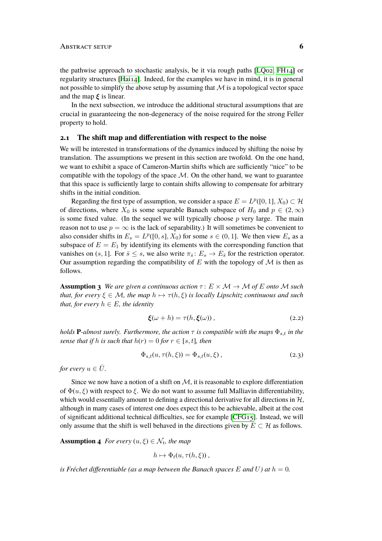#### ABSTRACT SETUP **6**

the pathwise approach to stochastic analysis, be it via rough paths [\[LQ02,](#page-33-9) [FH14\]](#page-32-10) or regularity structures [\[Hai14\]](#page-32-4). Indeed, for the examples we have in mind, it is in general not possible to simplify the above setup by assuming that  $M$  is a topological vector space and the map  $\xi$  is linear.

In the next subsection, we introduce the additional structural assumptions that are crucial in guaranteeing the non-degeneracy of the noise required for the strong Feller property to hold.

#### **2.1 The shift map and differentiation with respect to the noise**

We will be interested in transformations of the dynamics induced by shifting the noise by translation. The assumptions we present in this section are twofold. On the one hand, we want to exhibit a space of Cameron-Martin shifts which are sufficiently "nice" to be compatible with the topology of the space  $\mathcal{M}$ . On the other hand, we want to guarantee that this space is sufficiently large to contain shifts allowing to compensate for arbitrary shifts in the initial condition.

Regarding the first type of assumption, we consider a space  $E = L^p([0, 1], X_0) \subset \mathcal{H}$ of directions, where  $X_0$  is some separable Banach subspace of  $H_0$  and  $p \in (2,\infty)$ is some fixed value. (In the sequel we will typically choose  $p$  very large. The main reason not to use  $p = \infty$  is the lack of separability.) It will sometimes be convenient to also consider shifts in  $E_s = L^p([0, s], X_0)$  for some  $s \in (0, 1]$ . We then view  $E_s$  as a subspace of  $E = E_1$  by identifying its elements with the corresponding function that vanishes on (s, 1]. For  $\bar{s} \leq s$ , we also write  $\pi_{\bar{s}} : E_s \to E_{\bar{s}}$  for the restriction operator. Our assumption regarding the compatibility of  $E$  with the topology of  $M$  is then as follows.

<span id="page-5-0"></span>**Assumption 3** *We are given a continuous action*  $\tau: E \times \mathcal{M} \rightarrow \mathcal{M}$  *of* E *onto*  $\mathcal{M}$  *such that, for every*  $\xi \in M$ *, the map*  $h \mapsto \tau(h, \xi)$  *is locally Lipschitz continuous and such that, for every*  $h \in E$ *, the identity* 

<span id="page-5-2"></span><span id="page-5-1"></span>
$$
\boldsymbol{\xi}(\omega + h) = \tau(h, \boldsymbol{\xi}(\omega)), \qquad (2.2)
$$

*holds* **P**-almost surely. Furthermore, the action  $\tau$  is compatible with the maps  $\Phi_{s,t}$  *in the sense that if* h *is such that*  $h(r) = 0$  *for*  $r \in [s, t]$ *, then* 

$$
\Phi_{s,t}(u,\tau(h,\xi)) = \Phi_{s,t}(u,\xi) , \qquad (2.3)
$$

*for every*  $u \in \overline{U}$ *.* 

Since we now have a notion of a shift on  $M$ , it is reasonable to explore differentiation of  $\Phi(u, \xi)$  with respect to  $\xi$ . We do not want to assume full Malliavin differentiability, which would essentially amount to defining a directional derivative for all directions in  $H$ , although in many cases of interest one does expect this to be achievable, albeit at the cost of significant additional technical difficulties, see for example [\[CFG15\]](#page-31-10). Instead, we will only assume that the shift is well behaved in the directions given by  $E \subset H$  as follows.

<span id="page-5-3"></span>**Assumption 4** *For every*  $(u, \xi) \in \mathcal{N}_t$ , the map

$$
h \mapsto \Phi_t(u, \tau(h, \xi))
$$

*is Fréchet differentiable (as a map between the Banach spaces*  $E$  *and*  $U$ ) *at*  $h = 0$ .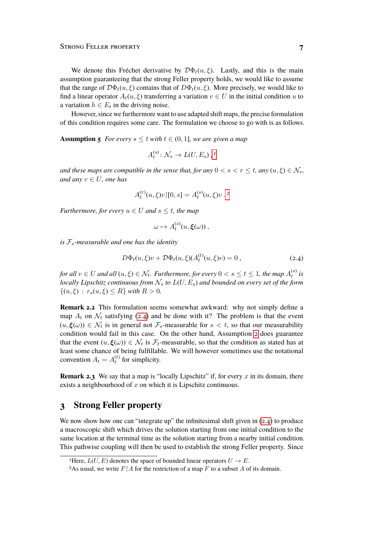We denote this Fréchet derivative by  $\mathcal{D}\Phi_t(u,\xi)$ . Lastly, and this is the main assumption guaranteeing that the strong Feller property holds, we would like to assume that the range of  $\mathcal{D}\Phi_t(u,\xi)$  contains that of  $D\Phi_t(u,\xi)$ . More precisely, we would like to find a linear operator  $A_t(u, \xi)$  transferring a variation  $v \in U$  in the initial condition u to a variation  $h \in E_t$  in the driving noise.

However, since we furthermore want to use adapted shift maps, the precise formulation of this condition requires some care. The formulation we choose to go with is as follows.

<span id="page-6-2"></span>**Assumption 5** *For every*  $s \le t$  *with*  $t \in (0, 1]$ *, we are given a map* 

$$
A_t^{(s)}: \mathcal{N}_s \to L(U, E_s) , ^1
$$

*and these maps are compatible in the sense that, for any*  $0 < s < r \le t$ , any  $(u, \xi) \in \mathcal{N}_r$ , *and any*  $v \in U$ *, one has* 

$$
A_t^{(r)}(u,\xi)v\,[0,s] = A_t^{(s)}(u,\xi)v.
$$
<sup>2</sup>

*Furthermore, for every*  $u \in U$  *and*  $s \le t$ *, the map* 

<span id="page-6-1"></span>
$$
\omega \mapsto A_t^{(s)}(u,\boldsymbol{\xi}(\omega))\,,
$$

*is* Fs*-measurable and one has the identity*

$$
D\Phi_t(u,\xi)v + \mathcal{D}\Phi_t(u,\xi)(A_t^{(t)}(u,\xi)v) = 0 ,
$$
\n(2.4)

for all  $v \in U$  and all  $(u, \xi) \in \mathcal{N}_t$ . Furthermore, for every  $0 < s \leq t \leq 1$ , the map  $A_t^{(s)}$  is *locally Lipschitz continuous from*  $\mathcal{N}_s$  *to*  $L(U, E_s)$  *and bounded on every set of the form*  $\{(u,\xi) : r_s(u,\xi) \leq R\}$  *with*  $R > 0$ *.* 

**Remark 2.2** This formulation seems somewhat awkward: why not simply define a map  $A_t$  on  $\mathcal{N}_t$  satisfying [\(2.4\)](#page-6-1) and be done with it? The problem is that the event  $(u, \xi(\omega)) \in \mathcal{N}_t$  is in general not  $\mathcal{F}_s$ -measurable for  $s < t$ , so that our measurability condition would fail in this case. On the other hand, Assumption [2](#page-4-0) does guarantee that the event  $(u, \xi(\omega)) \in \mathcal{N}_t$  is  $\mathcal{F}_t$ -measurable, so that the condition as stated has at least some chance of being fulfillable. We will however sometimes use the notational convention  $A_t = A_t^{(t)}$  for simplicity.

**Remark 2.3** We say that a map is "locally Lipschitz" if, for every x in its domain, there exists a neighbourhood of  $x$  on which it is Lipschitz continuous.

## <span id="page-6-0"></span>**3 Strong Feller property**

We now show how one can "integrate up" the infinitesimal shift given in  $(2.4)$  to produce a macroscopic shift which drives the solution starting from one initial condition to the same location at the terminal time as the solution starting from a nearby initial condition. This pathwise coupling will then be used to establish the strong Feller property. Since

<span id="page-6-3"></span><sup>&</sup>lt;sup>1</sup>Here,  $L(U, E)$  denotes the space of bounded linear operators  $U \rightarrow E$ .

<span id="page-6-4"></span><sup>&</sup>lt;sup>2</sup>As usual, we write  $F \upharpoonright A$  for the restriction of a map F to a subset A of its domain.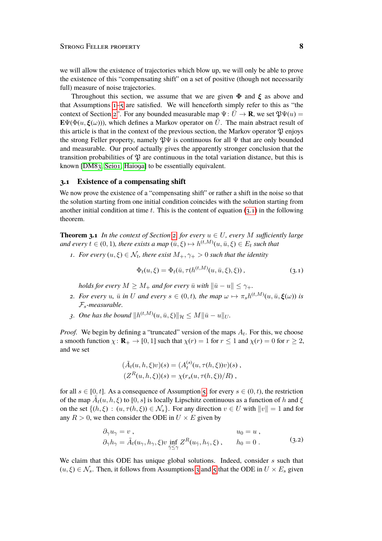we will allow the existence of trajectories which blow up, we will only be able to prove the existence of this "compensating shift" on a set of positive (though not necessarily full) measure of noise trajectories.

Throughout this section, we assume that we are given  $\Phi$  and  $\xi$  as above and that Assumptions [1–](#page-4-1)[5](#page-6-2) are satisfied. We will henceforth simply refer to this as "the context of Section [2"](#page-3-0). For any bounded measurable map  $\Psi: \overline{U} \to \mathbf{R}$ , we set  $\mathfrak{P}\Psi(u) =$  $\mathbf{E}\Psi(\Phi(u,\xi(\omega)))$ , which defines a Markov operator on  $\overline{U}$ . The main abstract result of this article is that in the context of the previous section, the Markov operator  $\mathfrak P$  enjoys the strong Feller property, namely  $\mathfrak{P}\Psi$  is continuous for all  $\Psi$  that are only bounded and measurable. Our proof actually gives the apparently stronger conclusion that the transition probabilities of  $\mathfrak P$  are continuous in the total variation distance, but this is known [\[DM83,](#page-31-11) [Sei01,](#page-34-0) [Hai09a\]](#page-32-2) to be essentially equivalent.

#### **3.1 Existence of a compensating shift**

We now prove the existence of a "compensating shift" or rather a shift in the noise so that the solution starting from one initial condition coincides with the solution starting from another initial condition at time t. This is the content of equation  $(3,1)$  in the following theorem.

<span id="page-7-2"></span>**Theorem 3.1** *In the context of Section [2,](#page-3-0) for every*  $u \in U$ *, every M sufficiently large* and every  $t \in (0,1)$ , there exists a map  $(\bar{u}, \xi) \mapsto h^{(t,M)}(u, \bar{u}, \xi) \in E_t$  such that

*1. For every*  $(u, \xi) \in \mathcal{N}_t$ , there exist  $M_+, \gamma_+ > 0$  such that the identity

<span id="page-7-0"></span>
$$
\Phi_t(u,\xi) = \Phi_t(\bar{u}, \tau(h^{(t,M)}(u,\bar{u},\xi),\xi)),
$$
\n(3.1)

*holds for every*  $M \geq M_+$  *and for every*  $\bar{u}$  *with*  $\|\bar{u} - u\| \leq \gamma_+$ *.* 

- *2. For every* u,  $\bar{u}$  in U and every  $s \in (0, t)$ , the map  $\omega \mapsto \pi_s h^{(t,M)}(u, \bar{u}, \xi(\omega))$  is Fs*-measurable.*
- *3.* One has the bound  $||h^{(t,M)}(u, \bar{u}, \xi)||_{\mathcal{H}} \leq M||\bar{u} u||_{U}$ .

*Proof.* We begin by defining a "truncated" version of the maps  $A_t$ . For this, we choose a smooth function  $\chi: \mathbf{R}_{+} \to [0, 1]$  such that  $\chi(r) = 1$  for  $r \le 1$  and  $\chi(r) = 0$  for  $r \ge 2$ , and we set

<span id="page-7-1"></span>
$$
(\tilde{A}_t(u, h, \xi)v)(s) = (A_t^{(s)}(u, \tau(h, \xi))v)(s), (Z^R(u, h, \xi))(s) = \chi(r_s(u, \tau(h, \xi))/R),
$$

for all  $s \in [0, t]$ . As a consequence of Assumption [5,](#page-6-2) for every  $s \in (0, t)$ , the restriction of the map  $\tilde{A}_t(u, h, \xi)$  to  $[0, s]$  is locally Lipschitz continuous as a function of h and  $\xi$ on the set  $\{(h, \xi) : (u, \tau(h, \xi)) \in \mathcal{N}_s\}$ . For any direction  $v \in U$  with  $||v|| = 1$  and for any  $R > 0$ , we then consider the ODE in  $U \times E$  given by

$$
\partial_{\gamma} u_{\gamma} = v , , \qquad u_0 = u ,
$$
  
\n
$$
\partial_{\gamma} h_{\gamma} = \tilde{A}_t(u_{\gamma}, h_{\gamma}, \xi) v \inf_{\bar{\gamma} \leq \gamma} Z^R(u_{\bar{\gamma}}, h_{\bar{\gamma}}, \xi) , \qquad h_0 = 0 .
$$
\n(3.2)

We claim that this ODE has unique global solutions. Indeed, consider  $s$  such that  $(u, \xi) \in \mathcal{N}_s$ . Then, it follows from Assumptions [3](#page-5-0) and [5](#page-6-2) that the ODE in  $U \times E_s$  given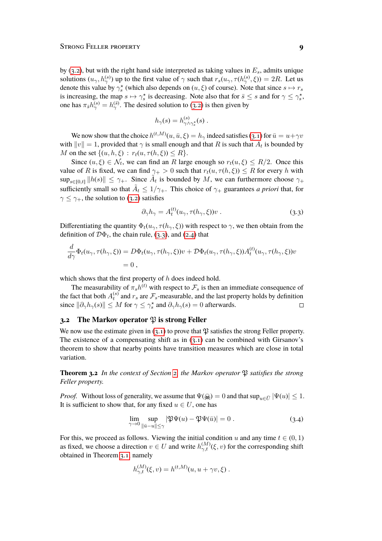by [\(3.2\)](#page-7-1), but with the right hand side interpreted as taking values in  $E_s$ , admits unique solutions  $(u_\gamma, h_\gamma^{(s)})$  up to the first value of  $\gamma$  such that  $r_s(u_\gamma, \tau(h_\gamma^{(s)}, \xi)) = 2R$ . Let us denote this value by  $\gamma_s^*$  (which also depends on  $(u, \xi)$  of course). Note that since  $s \mapsto r_s$ is increasing, the map  $s \mapsto \gamma_s^*$  is decreasing. Note also that for  $\bar{s} \leq s$  and for  $\gamma \leq \gamma_s^*$ , one has  $\pi_{\bar{s}} h_{\gamma}^{(s)} = h_{\gamma}^{(\bar{s})}$ . The desired solution to [\(3.2\)](#page-7-1) is then given by

$$
h_{\gamma}(s) = h_{\gamma \wedge \gamma_s^{\star}}^{(s)}(s) .
$$

We now show that the choice  $h^{(t,M)}(u,\bar{u},\xi)=h_\gamma$  indeed satisfies [\(3.1\)](#page-7-0) for  $\bar{u}=u+\gamma v$ with  $||v|| = 1$ , provided that  $\gamma$  is small enough and that  $R$  is such that  $\tilde{A}_t$  is bounded by M on the set  $\{(u, h, \xi) : r_t(u, \tau(h, \xi)) \leq R\}.$ 

Since  $(u, \xi) \in \mathcal{N}_t$ , we can find an R large enough so  $r_t(u, \xi) \leq R/2$ . Once this value of R is fixed, we can find  $\gamma_+ > 0$  such that  $r_t(u, \tau(h, \xi)) \leq R$  for every h with  $\sup_{s\in[0,t]}\|h(s)\| \leq \gamma_+$ . Since  $\tilde{A}_t$  is bounded by M, we can furthermore choose  $\gamma_+$ sufficiently small so that  $\tilde{A}_t \leq 1/\gamma_+$ . This choice of  $\gamma_+$  guarantees *a priori* that, for  $\gamma \leq \gamma_+$ , the solution to [\(3.2\)](#page-7-1) satisfies

<span id="page-8-0"></span>
$$
\partial_{\gamma}h_{\gamma} = A_t^{(t)}(u_{\gamma}, \tau(h_{\gamma}, \xi))v. \tag{3.3}
$$

Differentiating the quantity  $\Phi_t(u_\gamma, \tau(h_\gamma, \xi))$  with respect to  $\gamma$ , we then obtain from the definition of  $\mathcal{D}\Phi_t$ , the chain rule, [\(3.3\)](#page-8-0), and [\(2.4\)](#page-6-1) that

$$
\frac{d}{d\gamma}\Phi_t(u_\gamma, \tau(h_\gamma, \xi)) = D\Phi_t(u_\gamma, \tau(h_\gamma, \xi))v + D\Phi_t(u_\gamma, \tau(h_\gamma, \xi))A_t^{(t)}(u_\gamma, \tau(h_\gamma, \xi))v
$$
  
= 0,

which shows that the first property of h does indeed hold.

The measurability of  $\pi_s h^{(t)}$  with respect to  $\mathcal{F}_s$  is then an immediate consequence of the fact that both  $A_t^{(s)}$  and  $r_s$  are  $\mathcal{F}_s$ -measurable, and the last property holds by definition since  $\|\partial_{\gamma}h_{\gamma}(s)\| \leq M$  for  $\gamma \leq \gamma_s^*$  and  $\partial_{\gamma}h_{\gamma}(s) = 0$  afterwards.  $\Box$ 

#### **3.2** The Markov operator  $\mathfrak{P}$  is strong Feller

We now use the estimate given in  $(3.1)$  to prove that  $\mathfrak P$  satisfies the strong Feller property. The existence of a compensating shift as in  $(3.1)$  can be combined with Girsanov's theorem to show that nearby points have transition measures which are close in total variation.

<span id="page-8-2"></span>**Theorem 3.2** In the context of Section [2,](#page-3-0) the Markov operator  $\mathfrak P$  satisfies the strong *Feller property.*

*Proof.* Without loss of generality, we assume that  $\Psi(\mathbf{Q}) = 0$  and that  $\sup_{u \in \overline{U}} |\Psi(u)| \leq 1$ . It is sufficient to show that, for any fixed  $u \in U$ , one has

<span id="page-8-1"></span>
$$
\lim_{\gamma \to 0} \sup_{\|\bar{u} - u\| \le \gamma} |\mathfrak{P}\Psi(u) - \mathfrak{P}\Psi(\bar{u})| = 0.
$$
\n(3.4)

For this, we proceed as follows. Viewing the initial condition u and any time  $t \in (0, 1)$ as fixed, we choose a direction  $v \in U$  and write  $h_{\gamma,t}^{(M)}(\xi, v)$  for the corresponding shift obtained in Theorem [3.1,](#page-7-2) namely

$$
h_{\gamma,t}^{(M)}(\xi, v) = h^{(t,M)}(u, u + \gamma v, \xi) .
$$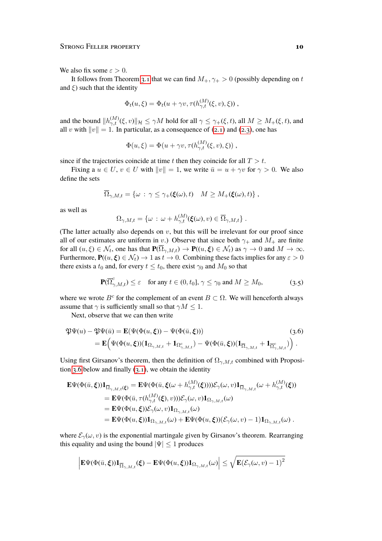We also fix some  $\varepsilon > 0$ .

It follows from Theorem [3.1](#page-7-2) that we can find  $M_+$ ,  $\gamma_+ > 0$  (possibly depending on t and  $\xi$ ) such that the identity

$$
\Phi_t(u,\xi) = \Phi_t(u + \gamma v, \tau(h_{\gamma,t}^{(M)}(\xi, v), \xi))
$$

and the bound  $||h_{\gamma,t}^{(M)}(\xi,v)||_{\mathcal{H}} \leq \gamma M$  hold for all  $\gamma \leq \gamma_+(\xi,t)$ , all  $M \geq M_+(\xi,t)$ , and all v with  $||v|| = 1$ . In particular, as a consequence of [\(2.1\)](#page-3-1) and [\(2.3\)](#page-5-1), one has

$$
\Phi(u,\xi) = \Phi(u + \gamma v, \tau(h_{\gamma,t}^{(M)}(\xi,v),\xi))
$$

since if the trajectories coincide at time t then they coincide for all  $T > t$ .

Fixing a  $u \in U$ ,  $v \in U$  with  $||v|| = 1$ , we write  $\bar{u} = u + \gamma v$  for  $\gamma > 0$ . We also define the sets

$$
\overline{\Omega}_{\gamma,M,t} = \{ \omega \, : \, \gamma \leq \gamma_+(\boldsymbol{\xi}(\omega),t) \quad M \geq M_+(\boldsymbol{\xi}(\omega),t) \},
$$

as well as

<span id="page-9-1"></span>
$$
\Omega_{\gamma,M,t} = \{ \omega \,:\, \omega + h_{\gamma,t}^{(M)}(\xi(\omega),v) \in \overline{\Omega}_{\gamma,M,t} \} .
$$

(The latter actually also depends on  $v$ , but this will be irrelevant for our proof since all of our estimates are uniform in v.) Observe that since both  $\gamma_+$  and  $M_+$  are finite for all  $(u, \xi) \in \mathcal{N}_t$ , one has that  $\mathbf{P}(\overline{\Omega}_{\gamma, M,t}) \to \mathbf{P}((u, \xi) \in \mathcal{N}_t)$  as  $\gamma \to 0$  and  $M \to \infty$ . Furthermore,  $P((u, \xi) \in \mathcal{N}_t) \to 1$  as  $t \to 0$ . Combining these facts implies for any  $\varepsilon > 0$ there exists a  $t_0$  and, for every  $t \leq t_0$ , there exist  $\gamma_0$  and  $M_0$  so that

<span id="page-9-0"></span>
$$
\mathbf{P}(\overline{\Omega}_{\gamma,M,t}^c) \le \varepsilon \quad \text{for any } t \in (0,t_0], \, \gamma \le \gamma_0 \text{ and } M \ge M_0,
$$
 (3.5)

where we wrote  $B^c$  for the complement of an event  $B \subset \Omega$ . We will henceforth always assume that  $\gamma$  is sufficiently small so that  $\gamma M \leq 1$ .

Next, observe that we can then write

$$
\mathfrak{P}\Psi(u) - \mathfrak{P}\Psi(\bar{u}) = \mathbf{E}(\Psi(\Phi(u,\xi)) - \Psi(\Phi(\bar{u},\xi)))
$$
\n
$$
= \mathbf{E}\Big(\Psi(\Phi(u,\xi))(\mathbf{1}_{\Omega_{\gamma,M,t}} + \mathbf{1}_{\Omega_{\gamma,M,t}^c}) - \Psi(\Phi(\bar{u},\xi))(\mathbf{1}_{\overline{\Omega}_{\gamma,M,t}} + \mathbf{1}_{\overline{\Omega}_{\gamma,M,t}^c})\Big).
$$
\n(3.6)

Using first Girsanov's theorem, then the definition of  $\Omega_{\gamma,M,t}$  combined with Proposi-tion [3.6](#page-11-0) below and finally  $(3.1)$ , we obtain the identity

$$
\mathbf{E}\Psi(\Phi(\bar{u},\boldsymbol{\xi}))\mathbf{1}_{\overline{\Omega}_{\gamma,M,t}(\boldsymbol{\xi})} = \mathbf{E}\Psi(\Phi(\bar{u},\boldsymbol{\xi}(\omega+h_{\gamma,t}^{(M)}(\boldsymbol{\xi}))))\mathcal{E}_{\gamma}(\omega,v)\mathbf{1}_{\overline{\Omega}_{\gamma,M,t}}(\omega+h_{\gamma,t}^{(M)}(\boldsymbol{\xi}))
$$
  
\n
$$
= \mathbf{E}\Psi(\Phi(\bar{u},\tau(h_{\gamma,t}^{(M)}(\boldsymbol{\xi}),v)))\mathcal{E}_{\gamma}(\omega,v)\mathbf{1}_{\Omega_{\gamma,M,t}}(\omega)
$$
  
\n
$$
= \mathbf{E}\Psi(\Phi(u,\boldsymbol{\xi}))\mathcal{E}_{\gamma}(\omega,v)\mathbf{1}_{\Omega_{\gamma,M,t}}(\omega)
$$
  
\n
$$
= \mathbf{E}\Psi(\Phi(u,\boldsymbol{\xi}))\mathbf{1}_{\Omega_{\gamma,M,t}}(\omega) + \mathbf{E}\Psi(\Phi(u,\boldsymbol{\xi}))(\mathcal{E}_{\gamma}(\omega,v)-1)\mathbf{1}_{\Omega_{\gamma,M,t}}(\omega).
$$

where  $\mathcal{E}_{\gamma}(\omega, v)$  is the exponential martingale given by Girsanov's theorem. Rearranging this equality and using the bound  $|\Psi| \leq 1$  produces

$$
\left| \mathbf{E} \Psi(\Phi(\bar{u}, \xi)) \mathbf{1}_{\overline{\Omega}_{\gamma,M,t}}(\xi) - \mathbf{E} \Psi(\Phi(u, \xi)) \mathbf{1}_{\Omega_{\gamma,M,t}}(\omega) \right| \leq \sqrt{\mathbf{E} (\mathcal{E}_{\gamma}(\omega, v) - 1)^2}
$$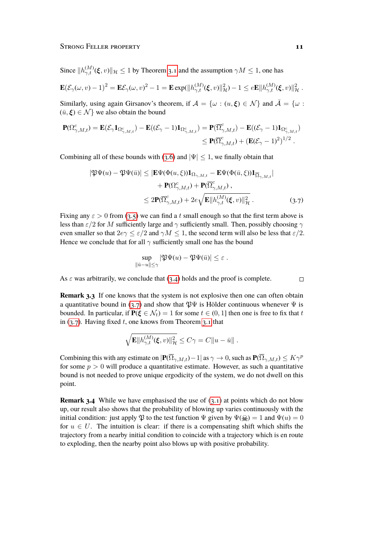Since  $||h_{\gamma,t}^{(M)}(\xi, v)||_{\mathcal{H}} \leq 1$  by Theorem [3.1](#page-7-2) and the assumption  $\gamma M \leq 1$ , one has

$$
\mathbf{E}(\mathcal{E}_{\gamma}(\omega,v)-1)^2 = \mathbf{E}\mathcal{E}_{\gamma}(\omega,v)^2 - 1 = \mathbf{E} \exp(\Vert h_{\gamma,t}^{(M)}(\xi,v) \Vert_{\mathcal{H}}^2) - 1 \leq e \mathbf{E} \Vert h_{\gamma,t}^{(M)}(\xi,v) \Vert_{\mathcal{H}}^2.
$$

Similarly, using again Girsanov's theorem, if  $A = \{ \omega : (u, \xi) \in \mathcal{N} \}$  and  $\overline{A} = \{ \omega :$  $(\bar{u}, \xi) \in \mathcal{N}$  we also obtain the bound

$$
\begin{aligned} \mathbf{P}(\Omega^c_{\gamma,M,t}) &= \mathbf{E}(\mathcal{E}_{\gamma}\mathbf{1}_{\Omega^c_{\gamma,M,t}}) - \mathbf{E}((\mathcal{E}_{\gamma}-1)\mathbf{1}_{\Omega^c_{\gamma,M,t}}) = \mathbf{P}(\overline{\Omega}^c_{\gamma,M,t}) - \mathbf{E}((\mathcal{E}_{\gamma}-1)\mathbf{1}_{\Omega^c_{\gamma,M,t}}) \\ &\leq \mathbf{P}(\overline{\Omega}^c_{\gamma,M,t}) + \left(\mathbf{E}(\mathcal{E}_{\gamma}-1)^2\right)^{1/2} .\end{aligned}
$$

Combining all of these bounds with [\(3.6\)](#page-9-0) and  $|\Psi| \leq 1$ , we finally obtain that

$$
\begin{split} |\mathfrak{P}\Psi(u) - \mathfrak{P}\Psi(\bar{u})| &\leq |\mathbf{E}\Psi(\Phi(u,\xi))\mathbf{1}_{\Omega_{\gamma,M,t}} - \mathbf{E}\Psi(\Phi(\bar{u},\xi))\mathbf{1}_{\overline{\Omega}_{\gamma,M,t}}| \\ &+ \mathbf{P}(\Omega_{\gamma,M,t}^c) + \mathbf{P}(\overline{\Omega}_{\gamma,M,t}^c) \,, \\ &\leq 2\mathbf{P}(\overline{\Omega}_{\gamma,M,t}^c) + 2e\sqrt{\mathbf{E}||h_{\gamma,t}^{(M)}(\xi,v)||_{\mathcal{H}}^2} \,. \end{split} \tag{3.7}
$$

Fixing any  $\varepsilon > 0$  from [\(3.5\)](#page-9-1) we can find a t small enough so that the first term above is less than  $\varepsilon/2$  for M sufficiently large and  $\gamma$  sufficiently small. Then, possibly choosing  $\gamma$ even smaller so that  $2e\gamma \leq \varepsilon/2$  and  $\gamma M \leq 1$ , the second term will also be less that  $\varepsilon/2$ . Hence we conclude that for all  $\gamma$  sufficiently small one has the bound

$$
\sup_{\|\bar{u}-u\|\leq \gamma} |\mathfrak{P}\Psi(u)-\mathfrak{P}\Psi(\bar{u})|\leq \varepsilon.
$$

As  $\varepsilon$  was arbitrarily, we conclude that [\(3.4\)](#page-8-1) holds and the proof is complete.

**Remark 3.3** If one knows that the system is not explosive then one can often obtain a quantitative bound in [\(3.7\)](#page-10-0) and show that  $\mathfrak{P}\Psi$  is Hölder continuous whenever  $\Psi$  is bounded. In particular, if  $P(\xi \in \mathcal{N}_t) = 1$  for some  $t \in (0, 1]$  then one is free to fix that t in  $(3.7)$ . Having fixed t, one knows from Theorem [3.1](#page-7-2) that

$$
\sqrt{\mathbf{E}||h_{\gamma,t}^{(M)}(\xi,v)||_{\mathcal{H}}^2} \leq C\gamma = C||u - \bar{u}||.
$$

Combining this with any estimate on  $|\mathbf{P}(\overline{\Omega}_{\gamma,M,t})-1|$  as  $\gamma \to 0$ , such as  $\mathbf{P}(\overline{\Omega}_{\gamma,M,t}) \leq K\gamma^p$ for some  $p > 0$  will produce a quantitative estimate. However, as such a quantitative bound is not needed to prove unique ergodicity of the system, we do not dwell on this point.

**Remark 3.4** While we have emphasised the use of [\(3.1\)](#page-7-0) at points which do not blow up, our result also shows that the probability of blowing up varies continuously with the initial condition: just apply  $\mathfrak P$  to the test function  $\Psi$  given by  $\Psi(\mathcal Q) = 1$  and  $\Psi(u) = 0$ for  $u \in U$ . The intuition is clear: if there is a compensating shift which shifts the trajectory from a nearby initial condition to coincide with a trajectory which is en route to exploding, then the nearby point also blows up with positive probability.

<span id="page-10-0"></span> $\Box$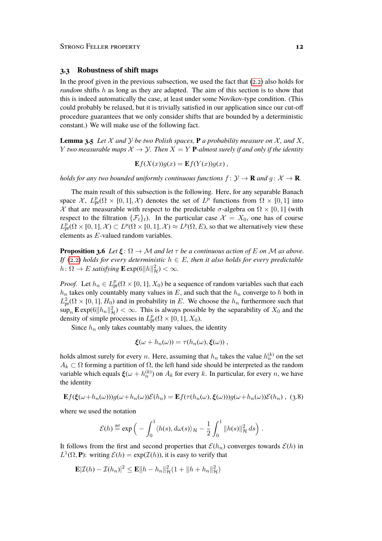#### **3.3 Robustness of shift maps**

In the proof given in the previous subsection, we used the fact that  $(2,2)$  also holds for *random* shifts h as long as they are adapted. The aim of this section is to show that this is indeed automatically the case, at least under some Novikov-type condition. (This could probably be relaxed, but it is trivially satisfied in our application since our cut-off procedure guarantees that we only consider shifts that are bounded by a deterministic constant.) We will make use of the following fact.

<span id="page-11-2"></span>**Lemma 3.5** Let X and Y be two Polish spaces, **P** a probability measure on X, and X, Y *two measurable maps*  $X \to Y$ *. Then*  $X = Y$  **P**-almost surely if and only if the identity

$$
\mathbf{E}f(X(x))g(x) = \mathbf{E}f(Y(x))g(x) ,
$$

*holds for any two bounded uniformly continuous functions*  $f: \mathcal{Y} \to \mathbf{R}$  *and*  $g: \mathcal{X} \to \mathbf{R}$ *.* 

The main result of this subsection is the following. Here, for any separable Banach space X,  $L_{\text{pr}}^p(\Omega \times [0,1], \mathcal{X})$  denotes the set of  $L^p$  functions from  $\Omega \times [0,1]$  into X that are measurable with respect to the predictable  $\sigma$ -algebra on  $\Omega \times [0,1]$  (with respect to the filtration  $\{\mathcal{F}_t\}_t$ . In the particular case  $\mathcal{X} = X_0$ , one has of course  $L_{\text{pr}}^p(\Omega\times[0,1],\mathcal{X})\subset L^p(\Omega\times[0,1],\mathcal{X})\approx L^p(\Omega,E)$ , so that we alternatively view these elements as E-valued random variables.

<span id="page-11-0"></span>**Proposition 3.6** *Let*  $\xi \colon \Omega \to M$  *and let*  $\tau$  *be a continuous action of*  $E$  *on*  $M$  *as above. If* [\(2.2\)](#page-5-2) *holds for every deterministic*  $h \in E$ , *then it also holds for every predictable*  $h \colon \Omega \to E$  *satisfying*  $\mathbf{E} \exp(6||h||^2_{\mathcal{H}}) < \infty$ .

*Proof.* Let  $h_n \in L^p_{\text{pr}}(\Omega \times [0, 1], X_0)$  be a sequence of random variables such that each  $h_n$  takes only countably many values in E, and such that the  $h_n$  converge to h both in  $L^2_{\text{pr}}(\Omega \times [0,1], H_0)$  and in probability in E. We choose the  $h_n$  furthermore such that  $\sup_n$  E exp(6||h<sub>n</sub>|| $\frac{2}{\mathcal{H}}$ ) <  $\infty$ . This is always possible by the separability of  $X_0$  and the density of simple processes in  $L_{\text{pr}}^p(\Omega \times [0,1], X_0)$ .

Since  $h_n$  only takes countably many values, the identity

<span id="page-11-1"></span>
$$
\boldsymbol{\xi}(\omega + h_n(\omega)) = \tau(h_n(\omega), \boldsymbol{\xi}(\omega)) ,
$$

holds almost surely for every *n*. Here, assuming that  $h_n$  takes the value  $h_n^{(k)}$  on the set  $A_k \subset \Omega$  forming a partition of  $\Omega$ , the left hand side should be interpreted as the random variable which equals  $\xi(\omega + h_n^{(k)})$  on  $A_k$  for every k. In particular, for every n, we have the identity

$$
\mathbf{E}f(\xi(\omega+h_n(\omega)))g(\omega+h_n(\omega))\mathcal{E}(h_n) = \mathbf{E}f(\tau(h_n(\omega),\xi(\omega)))g(\omega+h_n(\omega))\mathcal{E}(h_n), (3.8)
$$

where we used the notation

$$
\mathcal{E}(h) \stackrel{\text{def}}{=} \exp\left(-\int_0^1 \langle h(s), d\omega(s) \rangle_{\mathcal{H}} - \frac{1}{2} \int_0^1 \|h(s)\|_{\mathcal{H}}^2 ds\right).
$$

It follows from the first and second properties that  $\mathcal{E}(h_n)$  converges towards  $\mathcal{E}(h)$  in  $L^1(\Omega, \mathbf{P})$ : writing  $\mathcal{E}(h) = \exp(\mathcal{I}(h))$ , it is easy to verify that

$$
\mathbf{E}|\mathcal{I}(h) - \mathcal{I}(h_n)|^2 \le \mathbf{E}||h - h_n||_{\mathcal{H}}^2(1 + ||h + h_n||_{\mathcal{H}}^2)
$$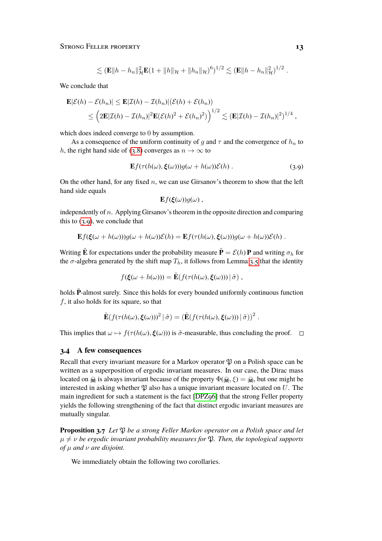$$
\lesssim (\mathbf{E}||h-h_n||_{\mathcal{H}}^2\mathbf{E}(1+||h||_{\mathcal{H}}+||h_n||_{\mathcal{H}})^6)^{1/2} \lesssim (\mathbf{E}||h-h_n||_{\mathcal{H}}^2)^{1/2}.
$$

We conclude that

$$
\mathbf{E}|\mathcal{E}(h) - \mathcal{E}(h_n)| \le \mathbf{E}|\mathcal{I}(h) - \mathcal{I}(h_n)|(\mathcal{E}(h) + \mathcal{E}(h_n))
$$
  
\$\le \left(2\mathbf{E}|\mathcal{I}(h) - \mathcal{I}(h\_n)|^2\mathbf{E}(\mathcal{E}(h)^2 + \mathcal{E}(h\_n)^2)\right)^{1/2} \lesssim (\mathbf{E}|\mathcal{I}(h) - \mathcal{I}(h\_n)|^2)^{1/4},

which does indeed converge to 0 by assumption.

As a consequence of the uniform continuity of g and  $\tau$  and the convergence of  $h_n$  to h, the right hand side of [\(3.8\)](#page-11-1) converges as  $n \to \infty$  to

$$
\mathbf{E}f(\tau(h(\omega),\boldsymbol{\xi}(\omega)))g(\omega+h(\omega))\mathcal{E}(h). \tag{3.9}
$$

On the other hand, for any fixed  $n$ , we can use Girsanov's theorem to show that the left hand side equals

<span id="page-12-0"></span>
$$
\mathbf{E} f(\boldsymbol{\xi}(\omega)) g(\omega) ,
$$

independently of  $n$ . Applying Girsanov's theorem in the opposite direction and comparing this to  $(3.9)$ , we conclude that

$$
\mathbf{E} f(\xi(\omega + h(\omega)))g(\omega + h(\omega))\mathcal{E}(h) = \mathbf{E} f(\tau(h(\omega), \xi(\omega)))g(\omega + h(\omega))\mathcal{E}(h) .
$$

Writing  $\tilde{\mathbf{E}}$  for expectations under the probability measure  $\tilde{\mathbf{P}} = \mathcal{E}(h) \mathbf{P}$  and writing  $\sigma_h$  for the  $\sigma$ -algebra generated by the shift map  $T_h$ , it follows from Lemma [3.5](#page-11-2) that the identity

$$
f(\boldsymbol{\xi}(\omega + h(\omega))) = \tilde{\mathbf{E}}(f(\tau(h(\omega), \boldsymbol{\xi}(\omega))) | \tilde{\sigma}) ,
$$

holds  $\tilde{P}$ -almost surely. Since this holds for every bounded uniformly continuous function f, it also holds for its square, so that

$$
\tilde{\mathbf{E}}(f(\tau(h(\omega),\xi(\omega)))^2 | \tilde{\sigma}) = (\tilde{\mathbf{E}}(f(\tau(h(\omega),\xi(\omega))) | \tilde{\sigma}))^2.
$$

This implies that  $\omega \mapsto f(\tau (h(\omega), \xi(\omega)))$  is  $\tilde{\sigma}$ -measurable, thus concluding the proof.  $\square$ 

#### **3.4 A few consequences**

Recall that every invariant measure for a Markov operator  $\mathfrak P$  on a Polish space can be written as a superposition of ergodic invariant measures. In our case, the Dirac mass located on  $\mathcal{Q}_i$  is always invariant because of the property  $\Phi(\mathcal{Q}_i, \xi) = \mathcal{Q}_i$ , but one might be interested in asking whether  $\mathfrak P$  also has a unique invariant measure located on U. The main ingredient for such a statement is the fact [\[DPZ96\]](#page-31-4) that the strong Feller property yields the following strengthening of the fact that distinct ergodic invariant measures are mutually singular.

<span id="page-12-1"></span>**Proposition 3.7** *Let*  $\mathfrak{P}$  *be a strong Feller Markov operator on a Polish space and let*  $\mu \neq \nu$  be ergodic invariant probability measures for  $\mathfrak{P}$ . Then, the topological supports *of* µ *and* ν *are disjoint.*

We immediately obtain the following two corollaries.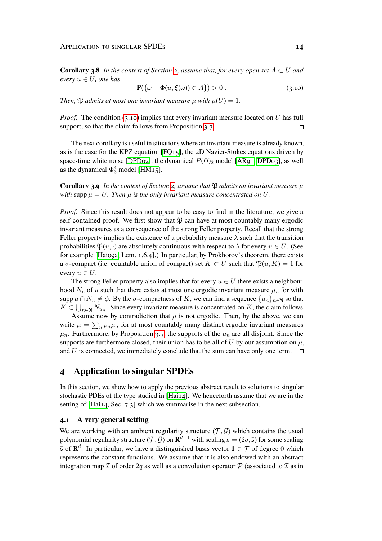**Corollary 3.8** *In the context of Section [2,](#page-3-0) assume that, for every open set*  $A \subset U$  *and every*  $u \in U$ *, one has* 

<span id="page-13-1"></span>
$$
\mathbf{P}(\{\omega : \Phi(u,\xi(\omega)) \in A\}) > 0.
$$
\n(3.10)

*Then,*  $\mathfrak{P}$  *admits at most one invariant measure*  $\mu$  *with*  $\mu(U) = 1$ *.* 

*Proof.* The condition [\(3.10\)](#page-13-1) implies that every invariant measure located on U has full support, so that the claim follows from Proposition [3.7.](#page-12-1)  $\Box$ 

The next corollary is useful in situations where an invariant measure is already known, as is the case for the KPZ equation  $[FO15]$ , the 2D Navier-Stokes equations driven by space-time white noise [\[DPD02\]](#page-31-7), the dynamical  $P(\Phi)_2$  model [\[AR91,](#page-30-0) [DPD03\]](#page-31-6), as well as the dynamical  $\Phi_3^4$  model [\[HM15\]](#page-32-6).

<span id="page-13-2"></span>**Corollary 3.9** *In the context of Section [2,](#page-3-0) assume that*  $\mathfrak P$  *admits an invariant measure*  $\mu$ *with* supp  $\mu = U$ . Then  $\mu$  *is the only invariant measure concentrated on* U.

*Proof.* Since this result does not appear to be easy to find in the literature, we give a self-contained proof. We first show that  $\mathfrak P$  can have at most countably many ergodic invariant measures as a consequence of the strong Feller property. Recall that the strong Feller property implies the existence of a probability measure  $\lambda$  such that the transition probabilities  $\mathfrak{P}(u, \cdot)$  are absolutely continuous with respect to  $\lambda$  for every  $u \in U$ . (See for example [\[Hai09a,](#page-32-2) Lem. 1.6.4].) In particular, by Prokhorov's theorem, there exists a  $\sigma$ -compact (i.e. countable union of compact) set  $K \subset U$  such that  $\mathfrak{P}(u, K) = 1$  for every  $u \in U$ .

The strong Feller property also implies that for every  $u \in U$  there exists a neighbourhood  $N_u$  of u such that there exists at most one ergodic invariant measure  $\mu_u$  for with supp  $\mu \cap N_u \neq \phi$ . By the  $\sigma$ -compactness of K, we can find a sequence  $\{u_n\}_{n\in\mathbb{N}}$  so that  $K \subset \bigcup_{n \in \mathbb{N}} N_{u_n}$ . Since every invariant measure is concentrated on K, the claim follows.

Assume now by contradiction that  $\mu$  is not ergodic. Then, by the above, we can write  $\mu = \sum_n p_n \mu_n$  for at most countably many distinct ergodic invariant measures  $\mu_n$ . Furthermore, by Proposition [3.7,](#page-12-1) the supports of the  $\mu_n$  are all disjoint. Since the supports are furthermore closed, their union has to be all of U by our assumption on  $\mu$ , and U is connected, we immediately conclude that the sum can have only one term.  $\Box$ 

# <span id="page-13-0"></span>**4 Application to singular SPDEs**

In this section, we show how to apply the previous abstract result to solutions to singular stochastic PDEs of the type studied in [\[Hai14\]](#page-32-4). We henceforth assume that we are in the setting of [\[Hai14,](#page-32-4) Sec. 7.3] which we summarise in the next subsection.

#### **4.1 A very general setting**

We are working with an ambient regularity structure  $(\mathcal{T}, \mathcal{G})$  which contains the usual polynomial regularity structure  $(\bar{\mathcal{T}}, \bar{\mathcal{G}})$  on  $\mathbf{R}^{d+1}$  with scaling  $\mathfrak{s} = (2q, \bar{\mathfrak{s}})$  for some scaling  $\bar{\mathfrak{s}}$  of  $\mathbf{R}^d$ . In particular, we have a distinguished basis vector  $\mathbf{1} \in \bar{\mathcal{T}}$  of degree 0 which represents the constant functions. We assume that it is also endowed with an abstract integration map  $\mathcal I$  of order  $2q$  as well as a convolution operator  $\mathcal P$  (associated to  $\mathcal I$  as in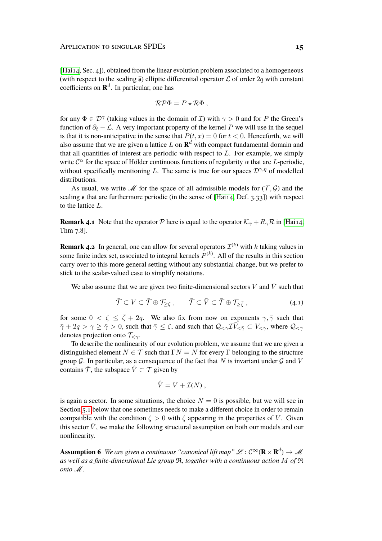[\[Hai14,](#page-32-4) Sec. 4]), obtained from the linear evolution problem associated to a homogeneous (with respect to the scaling  $\bar{s}$ ) elliptic differential operator  $\mathcal L$  of order  $2q$  with constant coefficients on  $\mathbb{R}^d$ . In particular, one has

$$
\mathcal{RP}\Phi = P \star \mathcal{R}\Phi ,
$$

for any  $\Phi \in \mathcal{D}^{\gamma}$  (taking values in the domain of *I*) with  $\gamma > 0$  and for *P* the Green's function of  $\partial_t - \mathcal{L}$ . A very important property of the kernel P we will use in the sequel is that it is non-anticipative in the sense that  $P(t, x) = 0$  for  $t < 0$ . Henceforth, we will also assume that we are given a lattice  $L$  on  $\mathbf{R}^{d}$  with compact fundamental domain and that all quantities of interest are periodic with respect to  $L$ . For example, we simply write  $\mathcal{C}^{\alpha}$  for the space of Hölder continuous functions of regularity  $\alpha$  that are *L*-periodic, without specifically mentioning L. The same is true for our spaces  $\mathcal{D}^{\gamma,\eta}$  of modelled distributions.

As usual, we write  $\mathcal M$  for the space of all admissible models for  $(\mathcal T, \mathcal G)$  and the scaling  $\frak s$  that are furthermore periodic (in the sense of [Hai<sub>14</sub>, Def. 3.33]) with respect to the lattice L.

**Remark 4.1** Note that the operator P here is equal to the operator  $K_{\bar{Y}} + R_{\gamma} \mathcal{R}$  in [\[Hai14,](#page-32-4) Thm 7.8].

**Remark 4.2** In general, one can allow for several operators  $\mathcal{I}^{(k)}$  with k taking values in some finite index set, associated to integral kernels  $P^{(k)}$ . All of the results in this section carry over to this more general setting without any substantial change, but we prefer to stick to the scalar-valued case to simplify notations.

We also assume that we are given two finite-dimensional sectors V and  $\overline{V}$  such that

$$
\bar{\mathcal{T}} \subset V \subset \bar{\mathcal{T}} \oplus \mathcal{T}_{\geq \zeta} , \qquad \bar{\mathcal{T}} \subset \bar{V} \subset \bar{\mathcal{T}} \oplus \mathcal{T}_{\geq \bar{\zeta}} , \qquad (4.1)
$$

for some  $0 < \zeta \leq \bar{\zeta} + 2q$ . We also fix from now on exponents  $\gamma, \bar{\gamma}$  such that  $\overline{\gamma}$  + 2q >  $\gamma \ge \overline{\gamma}$  > 0, such that  $\overline{\gamma} \le \zeta$ , and such that  $\mathcal{Q}_{\le \gamma} \mathcal{I} \overline{V}_{\le \overline{\gamma}} \subset V_{\le \gamma}$ , where  $\mathcal{Q}_{\le \gamma}$ denotes projection onto  $\mathcal{T}_{\leq \gamma}$ .

To describe the nonlinearity of our evolution problem, we assume that we are given a distinguished element  $N \in \mathcal{T}$  such that  $\Gamma N = N$  for every  $\Gamma$  belonging to the structure group  $G$ . In particular, as a consequence of the fact that N is invariant under  $G$  and V contains  $\overline{T}$ , the subspace  $\hat{V} \subset T$  given by

<span id="page-14-1"></span>
$$
\hat{V}=V+\mathcal{I}(N)\ ,
$$

is again a sector. In some situations, the choice  $N = 0$  is possible, but we will see in Section [5.1](#page-20-1) below that one sometimes needs to make a different choice in order to remain compatible with the condition  $\zeta > 0$  with  $\zeta$  appearing in the properties of V. Given this sector  $\hat{V}$ , we make the following structural assumption on both our models and our nonlinearity.

<span id="page-14-0"></span>**Assumption 6** *We are given a continuous "canonical lift map"*  $\mathscr{L}:\mathcal{C}^{\infty}(\mathbf{R}\times\mathbf{R}^{d})\to\mathscr{M}$ *as well as a finite-dimensional Lie group* R*, together with a continuous action* M *of* R *onto*  $M$ .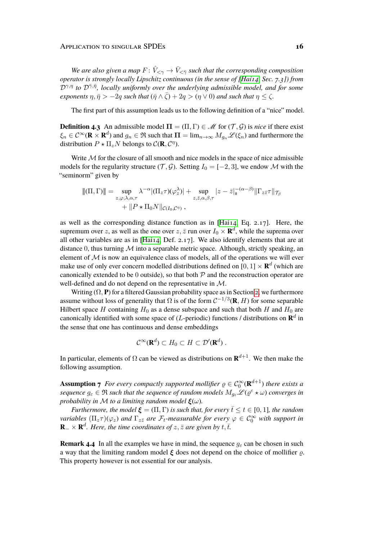*We are also given a map*  $F: \hat{V}_{\leq \gamma} \to \bar{V}_{\leq \bar{\gamma}}$  *such that the corresponding composition operator is strongly locally Lipschitz continuous (in the sense of [\[Hai14,](#page-32-4) Sec. 7.3]) from*  $\mathcal{D}^{\gamma,\eta}$  to  $\mathcal{D}^{\bar{\gamma},\bar{\eta}}$ , locally uniformly over the underlying admissible model, and for some *exponents*  $\eta, \bar{\eta} > -2q$  *such that* ( $\bar{\eta} \wedge \bar{\zeta}$ ) + 2q > ( $\eta \vee 0$ ) *and such that*  $\eta \leq \zeta$ .

The first part of this assumption leads us to the following definition of a "nice" model.

**Definition 4.3** An admissible model  $\Pi = (\Pi, \Gamma) \in \mathcal{M}$  for  $(\mathcal{T}, \mathcal{G})$  is *nice* if there exist  $\xi_n \in C^\infty(\mathbf{R} \times \mathbf{R}^d)$  and  $g_n \in \mathfrak{R}$  such that  $\mathbf{\Pi} = \lim_{n \to \infty} M_{g_n} \mathscr{L}(\xi_n)$  and furthermore the distribution  $P \star \Pi_z N$  belongs to  $\mathcal{C}(\mathbf{R}, \mathcal{C}^{\eta})$ .

Write  $M$  for the closure of all smooth and nice models in the space of nice admissible models for the regularity structure (T, G). Setting  $I_0 = [-2, 3]$ , we endow M with the "seminorm" given by

$$
\|( \Pi, \Gamma) \| = \sup_{z, \varphi, \lambda, \alpha, \tau} \lambda^{-\alpha} |(\Pi_z \tau)(\varphi_z^{\lambda})| + \sup_{z, \bar{z}, \alpha, \beta, \tau} |z - \bar{z}|_{\mathfrak{s}}^{-(\alpha - \beta)} \| \Gamma_{z \bar{z}} \tau \|_{\mathcal{T}_{\beta}} + \| P \star \Pi_0 N \|_{\mathcal{C}(I_0, \mathcal{C}^{\eta})},
$$

as well as the corresponding distance function as in [\[Hai14,](#page-32-4) Eq. 2.17]. Here, the supremum over z, as well as the one over  $z, \bar{z}$  run over  $I_0 \times \mathbf{R}^d$ , while the suprema over all other variables are as in  $[Ha114, Def. 2.17]$ . We also identify elements that are at distance 0, thus turning  $M$  into a separable metric space. Although, strictly speaking, an element of  $M$  is now an equivalence class of models, all of the operations we will ever make use of only ever concern modelled distributions defined on  $[0,1] \times \mathbf{R}^d$  (which are canonically extended to be 0 outside), so that both  $P$  and the reconstruction operator are well-defined and do not depend on the representative in M.

Writing  $(\Omega, \mathbf{P})$  for a filtered Gaussian probability space as in Section [2,](#page-3-0) we furthermore assume without loss of generality that  $\Omega$  is of the form  $C^{-1/3}(\mathbf{R}, H)$  for some separable Hilbert space H containing  $H_0$  as a dense subspace and such that both H and  $H_0$  are canonically identified with some space of  $(L$ -periodic) functions  $\prime$  distributions on  $\mathbb{R}^d$  in the sense that one has continuous and dense embeddings

$$
\mathcal{C}^{\infty}(\mathbf{R}^d) \subset H_0 \subset H \subset \mathcal{D}'(\mathbf{R}^d) .
$$

In particular, elements of  $\Omega$  can be viewed as distributions on  $\mathbf{R}^{d+1}$ . We then make the following assumption.

<span id="page-15-0"></span>**Assumption 7** For every compactly supported mollifier  $\varrho \in C_0^{\infty}(\mathbf{R}^{d+1})$  there exists a  $sequence g_{\varepsilon} \in \mathfrak{R}$  such that the sequence of random models  $M_{g_{\varepsilon}} \mathscr{L}(\varrho^{\varepsilon} \star \omega)$  converges in *probability in* M *to a limiting random model*  $\boldsymbol{\xi}(\omega)$ *.* 

*Furthermore, the model*  $\xi = (\Pi, \Gamma)$  *is such that, for every*  $\overline{t} \le t \in [0, 1]$ *, the random variables*  $(\Pi_z \tau)(\varphi_z)$  *and*  $\Gamma_{z\bar{z}}$  *are*  $\mathcal{F}_t$ -measurable for every  $\varphi \in C_0^{\infty}$  *with support in*  $\mathbf{R}_{-}\times\mathbf{R}^{d}$ *. Here, the time coordinates of z,*  $\bar{z}$  *are given by t,*  $\bar{t}$ *.* 

**Remark 4.4** In all the examples we have in mind, the sequence  $g_{\varepsilon}$  can be chosen in such a way that the limiting random model  $\xi$  does not depend on the choice of mollifier  $\rho$ . This property however is not essential for our analysis.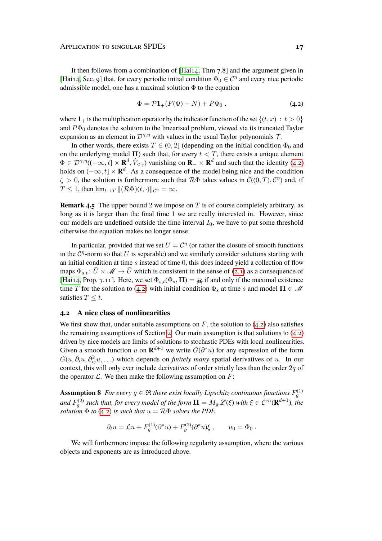It then follows from a combination of [\[Hai14,](#page-32-4) Thm 7.8] and the argument given in [\[Hai14,](#page-32-4) Sec. 9] that, for every periodic initial condition  $\Phi_0 \in \mathcal{C}^{\eta}$  and every nice periodic admissible model, one has a maximal solution  $\Phi$  to the equation

<span id="page-16-0"></span>
$$
\Phi = \mathcal{P}\mathbf{1}_{+}(F(\Phi) + N) + P\Phi_0 , \qquad (4.2)
$$

where  $1_+$  is the multiplication operator by the indicator function of the set  $\{(t, x) : t > 0\}$ and  $P\Phi_0$  denotes the solution to the linearised problem, viewed via its truncated Taylor expansion as an element in  $\mathcal{D}^{\gamma,\eta}$  with values in the usual Taylor polynomials  $\bar{\mathcal{T}}$ .

In other words, there exists  $T \in (0, 2]$  (depending on the initial condition  $\Phi_0$  and on the underlying model  $\Pi$ ) such that, for every  $t < T$ , there exists a unique element  $\Phi \in \mathcal{D}^{\gamma,\eta}((-\infty,t] \times \mathbf{R}^d, \hat{V}_{\leq \gamma})$  vanishing on  $\mathbf{R}_- \times \mathbf{R}^d$  and such that the identity [\(4.2\)](#page-16-0) holds on  $(-\infty, t] \times \mathbf{R}^d$ . As a consequence of the model being nice and the condition  $\zeta > 0$ , the solution is furthermore such that  $\mathcal{R}\Phi$  takes values in  $\mathcal{C}((0,T), \mathcal{C}^{\eta})$  and, if  $T \leq 1$ , then  $\lim_{t \to T} ||(\mathcal{R}\Phi)(t, \cdot)||_{\mathcal{C}^{\eta}} = \infty$ .

**Remark 4.5** The upper bound 2 we impose on T is of course completely arbitrary, as long as it is larger than the final time 1 we are really interested in. However, since our models are undefined outside the time interval  $I_0$ , we have to put some threshold otherwise the equation makes no longer sense.

In particular, provided that we set  $U = C^{\eta}$  (or rather the closure of smooth functions in the  $\mathcal{C}^{\eta}$ -norm so that U is separable) and we similarly consider solutions starting with an initial condition at time  $s$  instead of time 0, this does indeed yield a collection of flow maps  $\Phi_{s,t}$ :  $\bar{U} \times \mathcal{M} \rightarrow \bar{U}$  which is consistent in the sense of [\(2.1\)](#page-3-1) as a consequence of [\[Hai14,](#page-32-4) Prop. 7.11]. Here, we set  $\Phi_{s,t}(\Phi_s, \Pi) = \mathcal{Q}_s$  if and only if the maximal existence time T for the solution to [\(4.2\)](#page-16-0) with initial condition  $\Phi_s$  at time s and model  $\Pi \in \mathcal{M}$ satisfies  $T \leq t$ .

#### **4.2 A nice class of nonlinearities**

We first show that, under suitable assumptions on  $F$ , the solution to [\(4.2\)](#page-16-0) also satisfies the remaining assumptions of Section [2.](#page-3-0) Our main assumption is that solutions to  $(4.2)$ driven by nice models are limits of solutions to stochastic PDEs with local nonlinearities. Given a smooth function u on  $\mathbf{R}^{d+1}$  we write  $G(\partial^* u)$  for any expression of the form  $G(u, \partial_i u, \partial_{ij}^2 u, \ldots)$  which depends on *finitely many* spatial derivatives of u. In our context, this will only ever include derivatives of order strictly less than the order  $2q$  of the operator  $\mathcal{L}$ . We then make the following assumption on  $F$ :

<span id="page-16-2"></span>**Assumption 8** For every  $g \in \Re$  there exist locally Lipschitz continuous functions  $F_g^{(1)}$ and  $F_g^{(2)}$  such that, for every model of the form  $\mathbf{\Pi}=M_g\mathscr{L}(\xi)$  with  $\xi\in\mathcal{C}^\infty(\mathbf{R}^{d+1})$ , the *solution*  $\Phi$  *to* [\(4.2\)](#page-16-0) *is such that*  $u = R\Phi$  *solves the PDE* 

$$
\partial_t u = \mathcal{L}u + F_g^{(1)}(\partial^* u) + F_g^{(2)}(\partial^* u)\xi , \qquad u_0 = \Phi_0 .
$$

<span id="page-16-1"></span>We will furthermore impose the following regularity assumption, where the various objects and exponents are as introduced above.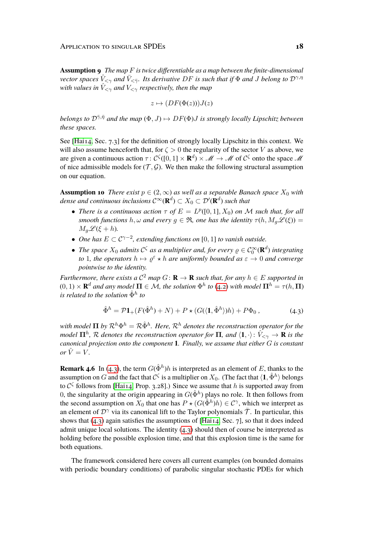**Assumption 9** *The map* F *is twice differentiable as a map between the finite-dimensional vector spaces*  $\tilde{V}_{\leq \gamma}$  *and*  $\bar{V}_{\leq \bar{\gamma}}$ *. Its derivative DF is such that if*  $\Phi$  *and J belong to*  $\mathcal{D}^{\gamma,\eta}$ *with values in*  $V_{\leq \gamma}$  *and*  $V_{\leq \gamma}$  *respectively, then the map* 

$$
z \mapsto (DF(\Phi(z)))J(z)
$$

*belongs to*  $\mathcal{D}^{\overline{\gamma},\overline{\eta}}$  *and the map*  $(\Phi, J) \mapsto DF(\Phi)J$  *is strongly locally Lipschitz between these spaces.*

See [\[Hai14,](#page-32-4) Sec. 7.3] for the definition of strongly locally Lipschitz in this context. We will also assume henceforth that, for  $\zeta > 0$  the regularity of the sector V as above, we are given a continuous action  $\tau: C^{\zeta}([0,1] \times \mathbf{R}^d) \times \mathcal{M} \to \mathcal{M}$  of  $C^{\zeta}$  onto the space  $\mathcal M$ of nice admissible models for  $(\mathcal{T}, \mathcal{G})$ . We then make the following structural assumption on our equation.

<span id="page-17-1"></span>**Assumption 10** *There exist*  $p \in (2, \infty)$  *as well as a separable Banach space*  $X_0$  *with*  $d$ ense and continuous inclusions  $\mathcal{C}^\infty(\mathbf{R}^d) \subset X_0 \subset \mathcal{D}'(\mathbf{R}^d)$  such that

- *There is a continuous action*  $\tau$  *of*  $E = L^p([0, 1], X_0)$  *on*  $M$  *such that, for all smooth functions*  $h, \omega$  *and every*  $g \in \mathfrak{R}$ *, one has the identity*  $\tau(h, M_g \mathcal{L}(\xi)) =$  $M_a \mathscr{L}(\xi + h)$ .
- *One has*  $E \subset C^{\gamma-2}$ , extending functions on [0, 1] to vanish outside.
- The space  $X_0$  admits  $C^{\zeta}$  as a multiplier and, for every  $\varrho \in C_0^{\infty}(\mathbf{R}^d)$  integrating *to* 1, the operators  $h \mapsto \varrho^{\varepsilon} \star h$  are uniformly bounded as  $\varepsilon \to 0$  and converge *pointwise to the identity.*

*Furthermore, there exists a*  $C^2$  *map*  $G: \mathbf{R} \to \mathbf{R}$  *such that, for any*  $h \in E$  *supported in*  $(0,1) \times \mathbf{R}^d$  and any model  $\mathbf{\Pi} \in \mathcal{M}$ , the solution  $\Phi^h$  to [\(4.2\)](#page-16-0) with model  $\mathbf{\Pi}^h = \tau(h,\mathbf{\Pi})$ *is related to the solution* Φˆ<sup>h</sup> *to*

<span id="page-17-0"></span>
$$
\hat{\Phi}^h = \mathcal{P}\mathbf{1}_+(F(\hat{\Phi}^h) + N) + P \star (G(\langle \mathbf{1}, \hat{\Phi}^h \rangle)h) + P\Phi_0, \qquad (4.3)
$$

with model  $\Pi$  by  $\mathcal{R}^h\Phi^h=\mathcal{R}\hat{\Phi}^h.$  *Here,*  $\mathcal{R}^h$  *denotes the reconstruction operator for the model*  $\mathbf{\Pi}^h$ ,  $\mathcal R$  *denotes the reconstruction operator for*  $\mathbf \Pi$ *, and*  $\langle\mathbf 1,\cdot\rangle\colon \hat V_{<\gamma}\to\mathbf R$  *is the canonical projection onto the component* 1*. Finally, we assume that either* G *is constant*  $or \hat{V} = V.$ 

<span id="page-17-2"></span>**Remark 4.6** In [\(4.3\)](#page-17-0), the term  $G(\hat{\Phi}^h)h$  is interpreted as an element of E, thanks to the assumption on  $G$  and the fact that  $\mathcal{C}^\zeta$  is a multiplier on  $X_0$ . (The fact that  $\langle \mathbf{1}, \hat{\Phi}^h \rangle$  belongs to  $C^{\zeta}$  follows from [\[Hai14,](#page-32-4) Prop. 3.28].) Since we assume that h is supported away from 0, the singularity at the origin appearing in  $G(\hat{\Phi}^h)$  plays no role. It then follows from the second assumption on  $X_0$  that one has  $P \star (G(\hat{\Phi}^h)h) \in C^{\gamma}$ , which we interpret as an element of  $\mathcal{D}^{\gamma}$  via its canonical lift to the Taylor polynomials  $\bar{\mathcal{T}}$ . In particular, this shows that  $(4.3)$  again satisfies the assumptions of [\[Hai14,](#page-32-4) Sec. 7], so that it does indeed admit unique local solutions. The identity  $(4.3)$  should then of course be interpreted as holding before the possible explosion time, and that this explosion time is the same for both equations.

The framework considered here covers all current examples (on bounded domains with periodic boundary conditions) of parabolic singular stochastic PDEs for which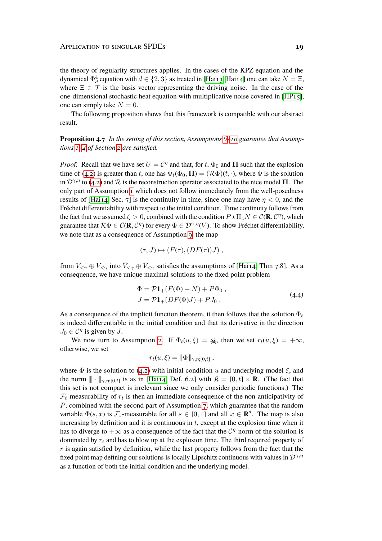the theory of regularity structures applies. In the cases of the KPZ equation and the dynamical  $\Phi_d^4$  equation with  $d\in\{2,3\}$  as treated in [\[Hai13,](#page-32-3) [Hai14\]](#page-32-4) one can take  $N=\Xi,$ where  $\Xi \in \mathcal{T}$  is the basis vector representing the driving noise. In the case of the one-dimensional stochastic heat equation with multiplicative noise covered in  $[HP_15]$ , one can simply take  $N = 0$ .

The following proposition shows that this framework is compatible with our abstract result.

<span id="page-18-0"></span>**Proposition 4.7** *In the setting of this section, Assumptions [6](#page-14-0)[–10](#page-17-1) guarantee that Assumptions [1](#page-4-1)[–4](#page-5-3) of Section [2](#page-3-0) are satisfied.*

*Proof.* Recall that we have set  $U = C^{\eta}$  and that, for t,  $\Phi_0$  and  $\Pi$  such that the explosion time of [\(4.2\)](#page-16-0) is greater than t, one has  $\Phi_t(\Phi_0, \Pi) = (\mathcal{R}\Phi)(t, \cdot)$ , where  $\Phi$  is the solution in  $\mathcal{D}^{\gamma,\eta}$  to [\(4.2\)](#page-16-0) and  $\mathcal R$  is the reconstruction operator associated to the nice model  $\Pi$ . The only part of Assumption [1](#page-4-1) which does not follow immediately from the well-posedness results of [\[Hai14,](#page-32-4) Sec. 7] is the continuity in time, since one may have  $\eta < 0$ , and the Fréchet differentiability with respect to the initial condition. Time continuity follows from the fact that we assumed  $\zeta > 0$ , combined with the condition  $P \star \Pi_z N \in \mathcal{C}(\mathbf{R}, \mathcal{C}^{\eta})$ , which guarantee that  $\mathcal{R}\Phi \in \mathcal{C}(\mathbf{R}, \mathcal{C}^{\eta})$  for every  $\Phi \in \mathcal{D}^{\gamma,\eta}(V)$ . To show Fréchet differentiability, we note that as a consequence of Assumption [9,](#page-16-1) the map

$$
(\tau, J) \mapsto (F(\tau), (DF(\tau))J) ,
$$

from  $V_{\leq \gamma} \oplus V_{\leq \gamma}$  into  $\bar{V}_{\leq \bar{\gamma}} \oplus \bar{V}_{\leq \bar{\gamma}}$  satisfies the assumptions of [\[Hai14,](#page-32-4) Thm 7.8]. As a consequence, we have unique maximal solutions to the fixed point problem

<span id="page-18-1"></span>
$$
\Phi = \mathcal{P}\mathbf{1}_{+}(F(\Phi) + N) + P\Phi_{0},
$$
  
\n
$$
J = \mathcal{P}\mathbf{1}_{+}(DF(\Phi)J) + PJ_{0}.
$$
\n(4.4)

As a consequence of the implicit function theorem, it then follows that the solution  $\Phi_t$ is indeed differentiable in the initial condition and that its derivative in the direction  $J_0 \in \mathcal{C}^{\eta}$  is given by  $J$ .

We now turn to Assumption [2.](#page-4-0) If  $\Phi_t(u,\xi) = \mathcal{Q}_t$ , then we set  $r_t(u,\xi) = +\infty$ , otherwise, we set

$$
r_t(u,\xi) = \|\Phi\|_{\gamma,\eta;[0,t]},
$$

where  $\Phi$  is the solution to [\(4.2\)](#page-16-0) with initial condition u and underlying model  $\xi$ , and the norm  $\|\cdot\|_{\gamma,\eta;[0,t]}$  is as in [\[Hai14,](#page-32-4) Def. 6.2] with  $\mathfrak{K} = [0,t] \times \mathbf{R}$ . (The fact that this set is not compact is irrelevant since we only consider periodic functions.) The  $\mathcal{F}_t$ -measurability of  $r_t$  is then an immediate consequence of the non-anticipativity of P, combined with the second part of Assumption [7,](#page-15-0) which guarantee that the random variable  $\Phi(s, x)$  is  $\mathcal{F}_s$ -measurable for all  $s \in [0, 1]$  and all  $x \in \mathbf{R}^d$ . The map is also increasing by definition and it is continuous in  $t$ , except at the explosion time when it has to diverge to  $+\infty$  as a consequence of the fact that the  $\mathcal{C}^{\eta}$ -norm of the solution is dominated by  $r_t$  and has to blow up at the explosion time. The third required property of  $r$  is again satisfied by definition, while the last property follows from the fact that the fixed point map defining our solutions is locally Lipschitz continuous with values in  $\mathcal{D}^{\gamma,\eta}$ as a function of both the initial condition and the underlying model.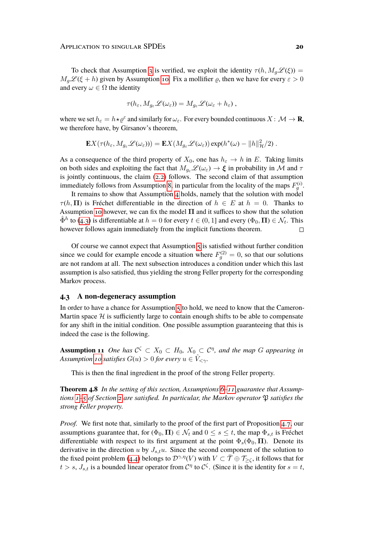To check that Assumption [3](#page-5-0) is verified, we exploit the identity  $\tau(h, M_a \mathscr{L}(\xi)) =$  $M_g\mathcal{L}(\xi + h)$  given by Assumption [10.](#page-17-1) Fix a mollifier  $\varrho$ , then we have for every  $\varepsilon > 0$ and every  $\omega \in \Omega$  the identity

$$
\tau(h_{\varepsilon}, M_{g_{\varepsilon}}\mathscr{L}(\omega_{\varepsilon})) = M_{g_{\varepsilon}}\mathscr{L}(\omega_{\varepsilon} + h_{\varepsilon}),
$$

where we set  $h_{\varepsilon} = h \star \varrho^{\varepsilon}$  and similarly for  $\omega_{\varepsilon}$ . For every bounded continuous  $X \colon \mathcal{M} \to \mathbf{R}$ , we therefore have, by Girsanov's theorem,

$$
\mathbf{E} X(\tau(h_{\varepsilon},M_{g_{\varepsilon}}\mathscr{L}(\omega_{\varepsilon})))=\mathbf{E} X(M_{g_{\varepsilon}}\mathscr{L}(\omega_{\varepsilon}))\exp(h^*(\omega)-\|h\|_{\mathcal{H}}^2/2).
$$

As a consequence of the third property of  $X_0$ , one has  $h_{\varepsilon} \to h$  in E. Taking limits on both sides and exploiting the fact that  $M_{q_{\varepsilon}}\mathscr{L}(\omega_{\varepsilon}) \to \xi$  in probability in M and  $\tau$ is jointly continuous, the claim [\(2.2\)](#page-5-2) follows. The second claim of that assumption immediately follows from Assumption [8,](#page-16-2) in particular from the locality of the maps  $F_g^{(i)}$ .

It remains to show that Assumption [4](#page-5-3) holds, namely that the solution with model  $\tau(h, \Pi)$  is Fréchet differentiable in the direction of  $h \in E$  at  $h = 0$ . Thanks to Assumption [10](#page-17-1) however, we can fix the model  $\Pi$  and it suffices to show that the solution  $\hat{\Phi}^h$  to [\(4.3\)](#page-17-0) is differentiable at  $h = 0$  for every  $t \in (0, 1]$  and every  $(\Phi_0, \Pi) \in \mathcal{N}_t$ . This however follows again immediately from the implicit functions theorem.  $\Box$ 

Of course we cannot expect that Assumption [5](#page-6-2) is satisfied without further condition since we could for example encode a situation where  $F_g^{(2)} = 0$ , so that our solutions are not random at all. The next subsection introduces a condition under which this last assumption is also satisfied, thus yielding the strong Feller property for the corresponding Markov process.

#### **4.3 A non-degeneracy assumption**

In order to have a chance for Assumption  $\zeta$  to hold, we need to know that the Cameron-Martin space  $H$  is sufficiently large to contain enough shifts to be able to compensate for any shift in the initial condition. One possible assumption guaranteeing that this is indeed the case is the following.

<span id="page-19-0"></span>**Assumption 11** One has  $C^{\zeta} \subset X_0 \subset H_0$ ,  $X_0 \subset C^{\eta}$ , and the map G appearing in *Assumption [10](#page-17-1) satisfies*  $G(u) > 0$  *for every*  $u \in V_{\leq \gamma}$ *.* 

This is then the final ingredient in the proof of the strong Feller property.

<span id="page-19-1"></span>**Theorem 4.8** *In the setting of this section, Assumptions [6](#page-14-0)[–11](#page-19-0) guarantee that Assumptions*  $1-\varsigma$  of Section [2](#page-3-0) are satisfied. In particular, the Markov operator  $\mathfrak P$  satisfies the *strong Feller property.*

*Proof.* We first note that, similarly to the proof of the first part of Proposition [4.7,](#page-18-0) our assumptions guarantee that, for  $(\Phi_0, \Pi) \in \mathcal{N}_t$  and  $0 \leq s \leq t$ , the map  $\Phi_{s,t}$  is Fréchet differentiable with respect to its first argument at the point  $\Phi_s(\Phi_0, \Pi)$ . Denote its derivative in the direction  $u$  by  $J_{s,t}u$ . Since the second component of the solution to the fixed point problem [\(4.4\)](#page-18-1) belongs to  $\mathcal{D}^{\gamma,\eta}(V)$  with  $V \subset \overline{\mathcal{T}} \oplus \mathcal{T}_{\geq \zeta}$ , it follows that for  $t > s$ ,  $J_{s,t}$  is a bounded linear operator from  $C^{\eta}$  to  $C^{\zeta}$ . (Since it is the identity for  $s = t$ ,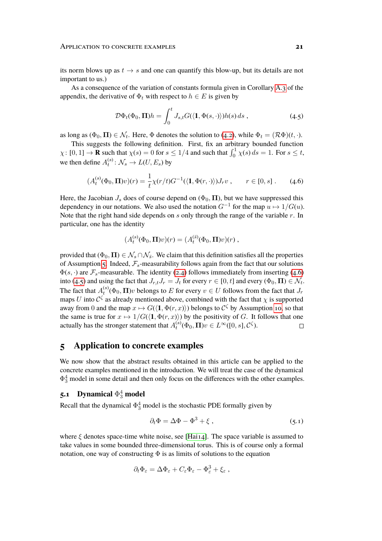its norm blows up as  $t \to s$  and one can quantify this blow-up, but its details are not important to us.)

As a consequence of the variation of constants formula given in Corollary [A.3](#page-30-1) of the appendix, the derivative of  $\Phi_t$  with respect to  $h \in E$  is given by

<span id="page-20-3"></span>
$$
\mathcal{D}\Phi_t(\Phi_0, \mathbf{\Pi})h = \int_0^t J_{s,t} G(\langle \mathbf{1}, \Phi(s, \cdot) \rangle) h(s) \, ds \,, \tag{4.5}
$$

as long as  $(\Phi_0, \Pi) \in \mathcal{N}_t$ . Here,  $\Phi$  denotes the solution to [\(4.2\)](#page-16-0), while  $\Phi_t = (\mathcal{R}\Phi)(t, \cdot)$ .

This suggests the following definition. First, fix an arbitrary bounded function  $\chi: [0,1] \to \mathbf{R}$  such that  $\chi(s) = 0$  for  $s \leq 1/4$  and such that  $\int_0^1 \chi(s) ds = 1$ . For  $s \leq t$ , we then define  $A_t^{(s)} \colon \mathcal{N}_s \to L(U, E_s)$  by

$$
(A_t^{(s)}(\Phi_0, \mathbf{\Pi})v)(r) = \frac{1}{t} \chi(r/t) G^{-1}(\langle \mathbf{1}, \Phi(r, \cdot) \rangle) J_r v , \qquad r \in [0, s] . \tag{4.6}
$$

Here, the Jacobian  $J_s$  does of course depend on ( $\Phi_0$ ,  $\Pi$ ), but we have suppressed this dependency in our notations. We also used the notation  $G^{-1}$  for the map  $u \mapsto 1/G(u)$ . Note that the right hand side depends on s only through the range of the variable  $r$ . In particular, one has the identity

<span id="page-20-2"></span>
$$
(A_t^{(s)}(\Phi_0, \Pi)v)(r) = (A_t^{(\bar{s})}(\Phi_0, \Pi)v)(r) ,
$$

provided that ( $\Phi_0, \Pi \in \mathcal{N}_s \cap \mathcal{N}_s$ . We claim that this definition satisfies all the properties of Assumption [5.](#page-6-2) Indeed,  $\mathcal{F}_s$ -measurability follows again from the fact that our solutions  $\Phi(s, \cdot)$  are  $\mathcal{F}_s$ -measurable. The identity [\(2.4\)](#page-6-1) follows immediately from inserting [\(4.6\)](#page-20-2) into [\(4.5\)](#page-20-3) and using the fact that  $J_{r,t}J_r = J_t$  for every  $r \in [0, t]$  and every  $(\Phi_0, \Pi) \in \mathcal{N}_t$ . The fact that  $A_t^{(s)}(\Phi_0, \Pi)v$  belongs to  $E$  for every  $v \in U$  follows from the fact that  $J_r$ maps U into  $\mathcal{C}^{\zeta}$  as already mentioned above, combined with the fact that  $\chi$  is supported away from 0 and the map  $x \mapsto G(\langle 1, \Phi(r, x) \rangle)$  belongs to  $\mathcal{C}^{\zeta}$  by Assumption [10,](#page-17-1) so that the same is true for  $x \mapsto 1/G(\langle 1, \Phi(r, x) \rangle)$  by the positivity of G. It follows that one actually has the stronger statement that  $A_t^{(s)}(\Phi_0, \Pi)v \in L^\infty([0, s], \mathcal{C}^\zeta)$ .  $\Box$ 

### <span id="page-20-0"></span>**5 Application to concrete examples**

We now show that the abstract results obtained in this article can be applied to the concrete examples mentioned in the introduction. We will treat the case of the dynamical  $\Phi_3^4$  model in some detail and then only focus on the differences with the other examples.

# <span id="page-20-1"></span>**5.1** Dynamical  $\Phi_3^4$  model

Recall that the dynamical  $\Phi_3^4$  model is the stochastic PDE formally given by

<span id="page-20-4"></span>
$$
\partial_t \Phi = \Delta \Phi - \Phi^3 + \xi \,, \tag{5.1}
$$

where  $\xi$  denotes space-time white noise, see [\[Hai14\]](#page-32-4). The space variable is assumed to take values in some bounded three-dimensional torus. This is of course only a formal notation, one way of constructing  $\Phi$  is as limits of solutions to the equation

$$
\partial_t \Phi_{\varepsilon} = \Delta \Phi_{\varepsilon} + C_{\varepsilon} \Phi_{\varepsilon} - \Phi_{\varepsilon}^3 + \xi_{\varepsilon} ,
$$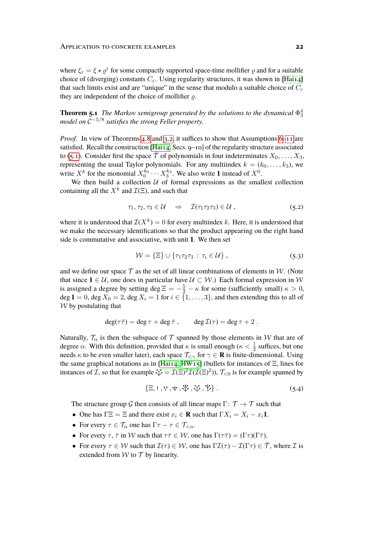where  $\xi_{\varepsilon} = \xi \star \varrho^{\varepsilon}$  for some compactly supported space-time mollifier  $\varrho$  and for a suitable choice of (diverging) constants  $C_{\varepsilon}$ . Using regularity structures, it was shown in [\[Hai14\]](#page-32-4) that such limits exist and are "unique" in the sense that modulo a suitable choice of  $C_{\varepsilon}$ they are independent of the choice of mollifier  $\rho$ .

**Theorem 5.1** *The Markov semigroup generated by the solutions to the dynamical*  $\Phi_3^4$ *model on* C −5/8 *satisfies the strong Feller property.*

*Proof.* In view of Theorems [4.8](#page-19-1) and [3.2,](#page-8-2) it suffices to show that Assumptions [6](#page-14-0)[–11](#page-19-0) are satisfied. Recall the construction [\[Hai14,](#page-32-4) Secs. 9–10] of the regularity structure associated to [\(5.1\)](#page-20-4). Consider first the space  $\bar{\mathcal{T}}$  of polynomials in four indeterminates  $X_0, \ldots, X_3$ , representing the usual Taylor polynomials. For any multiindex  $k = (k_0, \ldots, k_3)$ , we write  $X^k$  for the monomial  $X_0^{k_0} \cdots X_3^{k_3}$ . We also write 1 instead of  $X^0$ .

We then build a collection  $U$  of formal expressions as the smallest collection containing all the  $X^k$  and  $\mathcal{I}(\Xi)$ , and such that

$$
\tau_1, \tau_2, \tau_3 \in \mathcal{U} \quad \Rightarrow \quad \mathcal{I}(\tau_1 \tau_2 \tau_3) \in \mathcal{U}, \tag{5.2}
$$

where it is understood that  $\mathcal{I}(X^k) = 0$  for every multiindex k. Here, it is understood that we make the necessary identifications so that the product appearing on the right hand side is commutative and associative, with unit 1. We then set

$$
\mathcal{W} = \{\Xi\} \cup \{\tau_1 \tau_2 \tau_3 : \tau_i \in \mathcal{U}\},\tag{5.3}
$$

and we define our space  $\mathcal T$  as the set of all linear combinations of elements in  $\mathcal W$ . (Note that since  $1 \in \mathcal{U}$ , one does in particular have  $\mathcal{U} \subset \mathcal{W}$ .) Each formal expression in W is assigned a degree by setting deg  $\Xi = -\frac{5}{2} - \kappa$  for some (sufficiently small)  $\kappa > 0$ , deg  $1 = 0$ , deg  $X_0 = 2$ , deg  $X_i = 1$  for  $i \in \{1, \ldots, 3\}$ , and then extending this to all of  $W$  by postulating that

$$
\deg(\tau \bar{\tau}) = \deg \tau + \deg \bar{\tau} , \qquad \deg \mathcal{I}(\tau) = \deg \tau + 2 .
$$

Naturally,  $\mathcal{T}_{\alpha}$  is then the subspace of  $\mathcal{T}$  spanned by those elements in W that are of degree  $\alpha$ . With this definition, provided that  $\kappa$  is small enough ( $\kappa < \frac{1}{2}$  suffices, but one needs  $\kappa$  to be even smaller later), each space  $\mathcal{T}_{\leq \gamma}$  for  $\gamma \in \mathbf{R}$  is finite-dimensional. Using the same graphical notations as in [\[Hai14,](#page-32-4) [HW15\]](#page-33-11) (bullets for instances of  $\Xi$ , lines for instances of *I*, so that for example  $\mathcal{V} = \mathcal{I}(\Xi)^2 \mathcal{I}(\mathcal{I}(\Xi)^2)$ ),  $\mathcal{T}_{\leq 0}$  is for example spanned by

<span id="page-21-0"></span>
$$
\{\Xi, \mathbf{1}, \mathbf{V}, \mathbf{V}, \mathbf{\Psi}, \mathbf{\Psi}, \mathbf{\Psi}\}.
$$
 (5.4)

The structure group G then consists of all linear maps  $\Gamma: \mathcal{T} \to \mathcal{T}$  such that

- One has  $\Gamma \Xi = \Xi$  and there exist  $x_i \in \mathbf{R}$  such that  $\Gamma X_i = X_i x_i \mathbf{1}$ .
- For every  $\tau \in \mathcal{T}_{\alpha}$  one has  $\Gamma \tau \tau \in \mathcal{T}_{\leq \alpha}$ .
- For every  $\tau$ ,  $\bar{\tau}$  in W such that  $\tau \bar{\tau} \in W$ , one has  $\Gamma(\tau \bar{\tau}) = (\Gamma \tau)(\Gamma \bar{\tau})$ .
- For every  $\tau \in W$  such that  $\mathcal{I}(\tau) \in W$ , one has  $\Gamma \mathcal{I}(\tau) \mathcal{I}(\Gamma \tau) \in \overline{\mathcal{T}}$ , where  $\mathcal{I}$  is extended from  $W$  to  $T$  by linearity.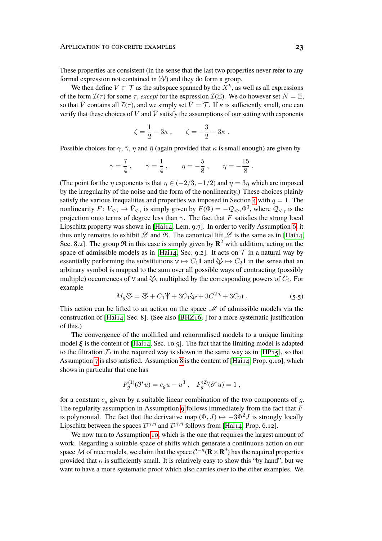These properties are consistent (in the sense that the last two properties never refer to any formal expression not contained in  $W$ ) and they do form a group.

We then define  $V \subset \mathcal{T}$  as the subspace spanned by the  $X^k$ , as well as all expressions of the form  $\mathcal{I}(\tau)$  for some  $\tau$ , *except* for the expression  $\mathcal{I}(\Xi)$ . We do however set  $N = \Xi$ , so that  $\hat{V}$  contains all  $\mathcal{I}(\tau)$ , and we simply set  $\bar{V} = \mathcal{T}$ . If  $\kappa$  is sufficiently small, one can verify that these choices of V and  $\overline{V}$  satisfy the assumptions of our setting with exponents

$$
\zeta = \frac{1}{2} - 3\kappa , \qquad \bar{\zeta} = -\frac{3}{2} - 3\kappa .
$$

Possible choices for  $\gamma$ ,  $\bar{\gamma}$ ,  $\eta$  and  $\bar{\eta}$  (again provided that  $\kappa$  is small enough) are given by

$$
\gamma = \frac{7}{4}
$$
,  $\bar{\gamma} = \frac{1}{4}$ ,  $\eta = -\frac{5}{8}$ ,  $\bar{\eta} = -\frac{15}{8}$ .

(The point for the  $\eta$  exponents is that  $\eta \in (-2/3, -1/2)$  and  $\bar{\eta} = 3\eta$  which are imposed by the irregularity of the noise and the form of the nonlinearity.) These choices plainly satisfy the various inequalities and properties we imposed in Section [4](#page-13-0) with  $q = 1$ . The nonlinearity  $F: V_{\leq \gamma} \to \bar{V}_{\leq \bar{\gamma}}$  is simply given by  $F(\Phi) = -\mathcal{Q}_{\leq \bar{\gamma}} \Phi^3$ , where  $\mathcal{Q}_{\leq \bar{\gamma}}$  is the projection onto terms of degree less than  $\bar{\gamma}$ . The fact that F satisfies the strong local Lipschitz property was shown in [\[Hai14,](#page-32-4) Lem. 9.7]. In order to verify Assumption [6,](#page-14-0) it thus only remains to exhibit  $\mathscr L$  and  $\mathfrak R$ . The canonical lift  $\mathscr L$  is the same as in [\[Hai14,](#page-32-4) Sec. 8.2]. The group  $\Re$  in this case is simply given by  $\mathbb{R}^2$  with addition, acting on the space of admissible models as in [\[Hai14,](#page-32-4) Sec. 9.2]. It acts on  $\mathcal T$  in a natural way by essentially performing the substitutions  $\mathbf{v} \mapsto C_1 \mathbf{1}$  and  $\mathbf{\nabla} \mapsto C_2 \mathbf{1}$  in the sense that an arbitrary symbol is mapped to the sum over all possible ways of contracting (possibly multiple) occurrences of V and  $\sqrt{\cdot}$ , multiplied by the corresponding powers of  $C_i$ . For example

<span id="page-22-0"></span>
$$
M_g \mathcal{V} = \mathcal{V} + C_1 \mathcal{V} + 3C_1 \mathcal{V} + 3C_1^2 \mathcal{V} + 3C_2 \mathbf{t}.
$$
 (5.5)

This action can be lifted to an action on the space  $\mathcal M$  of admissible models via the construction of [\[Hai14,](#page-32-4) Sec. 8]. (See also [\[BHZ16,](#page-31-12) ] for a more systematic justification of this.)

The convergence of the mollified and renormalised models to a unique limiting model  $\xi$  is the content of [Hai<sub>14</sub>, Sec. 10.5]. The fact that the limiting model is adapted to the filtration  $\mathcal{F}_t$  in the required way is shown in the same way as in [\[HP15\]](#page-33-10), so that Assumption [7](#page-15-0) is also satisfied. Assumption [8](#page-16-2) is the content of [\[Hai14,](#page-32-4) Prop. 9.10], which shows in particular that one has

$$
F_g^{(1)}(\partial^* u) = c_g u - u^3 , \quad F_g^{(2)}(\partial^* u) = 1 ,
$$

for a constant  $c_q$  given by a suitable linear combination of the two components of  $q$ . The regularity assumption in Assumption [9](#page-16-1) follows immediately from the fact that  $F$ is polynomial. The fact that the derivative map  $(\Phi, J) \mapsto -3\Phi^2 J$  is strongly locally Lipschitz between the spaces  $\mathcal{D}^{\gamma,\eta}$  and  $\mathcal{D}^{\bar{\gamma},\bar{\eta}}$  follows from [\[Hai14,](#page-32-4) Prop. 6.12].

We now turn to Assumption [10,](#page-17-1) which is the one that requires the largest amount of work. Regarding a suitable space of shifts which generate a continuous action on our space  $\mathcal M$  of nice models, we claim that the space  $\mathcal C^{-\kappa}({\bf R}\times{\bf R}^d)$  has the required properties provided that  $\kappa$  is sufficiently small. It is relatively easy to show this "by hand", but we want to have a more systematic proof which also carries over to the other examples. We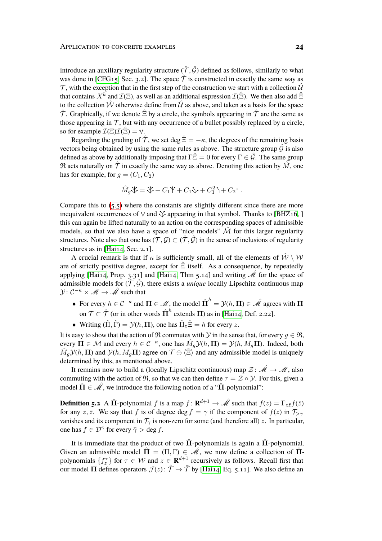introduce an auxiliary regularity structure  $(\hat{\mathcal{T}}, \hat{\mathcal{G}})$  defined as follows, similarly to what was done in [\[CFG15,](#page-31-10) Sec. 3.2]. The space  $\hat{\mathcal{T}}$  is constructed in exactly the same way as  $\mathcal T$ , with the exception that in the first step of the construction we start with a collection  $\hat U$ that contains  $X^k$  and  $\mathcal{I}(\Xi)$ , as well as an additional expression  $\mathcal{I}(\hat{\Xi})$ . We then also add  $\hat{\Xi}$ to the collection  $\hat{\mathcal{W}}$  otherwise define from  $\hat{\mathcal{U}}$  as above, and taken as a basis for the space  $\hat{\tau}$ . Graphically, if we denote  $\hat{\Xi}$  by a circle, the symbols appearing in  $\hat{\tau}$  are the same as those appearing in  $\mathcal T$ , but with any occurrence of a bullet possibly replaced by a circle, so for example  $\mathcal{I}(\Xi)\mathcal{I}(\Xi) = \vee$ .

Regarding the grading of  $\hat{\mathcal{T}}$ , we set deg  $\hat{\Xi} = -\kappa$ , the degrees of the remaining basis vectors being obtained by using the same rules as above. The structure group  $\hat{G}$  is also defined as above by additionally imposing that  $\Gamma \hat{\Xi} = 0$  for every  $\Gamma \in \hat{\mathcal{G}}$ . The same group  $\Re$  acts naturally on  $\hat{\mathcal{T}}$  in exactly the same way as above. Denoting this action by  $\hat{M}$ , one has for example, for  $q = (C_1, C_2)$ 

$$
\hat{M}_g \mathcal{V} = \mathcal{V} + C_1 \mathcal{V} + C_1 \mathcal{V} + C_1^2 \mathcal{V} + C_2 \mathcal{V}.
$$

Compare this to [\(5.5\)](#page-22-0) where the constants are slightly different since there are more inequivalent occurrences of  $\vee$  and  $\vee$  appearing in that symbol. Thanks to [\[BHZ16,](#page-31-12) ] this can again be lifted naturally to an action on the corresponding spaces of admissible models, so that we also have a space of "nice models"  $\hat{M}$  for this larger regularity structures. Note also that one has  $(\mathcal{T}, \mathcal{G}) \subset (\mathcal{T}, \mathcal{G})$  in the sense of inclusions of regularity structures as in [\[Hai14,](#page-32-4) Sec. 2.1].

A crucial remark is that if  $\kappa$  is sufficiently small, all of the elements of  $\mathcal{W} \setminus \mathcal{W}$ are of strictly positive degree, except for  $\hat{\Xi}$  itself. As a consequence, by repeatedly applying [\[Hai14,](#page-32-4) Prop. 3.31] and [Hai14, Thm 5.14] and writing  $\hat{\mathcal{M}}$  for the space of admissible models for  $(\hat{\mathcal{T}}, \hat{\mathcal{G}})$ , there exists a *unique* locally Lipschitz continuous map  $\mathcal{Y}: \mathcal{C}^{-\kappa} \times \mathcal{M} \to \hat{\mathcal{M}}$  such that

- For every  $h \in C^{-\kappa}$  and  $\Pi \in \mathcal{M}$ , the model  $\hat{\Pi}^h = \mathcal{Y}(h, \Pi) \in \hat{\mathcal{M}}$  agrees with  $\Pi$ on  $\mathcal{T} \subset \hat{\mathcal{T}}$  (or in other words  $\hat{\Pi}^h$  extends  $\Pi$ ) as in [\[Hai14,](#page-32-4) Def. 2.22].
- Writing  $(\hat{\Pi}, \hat{\Gamma}) = \mathcal{Y}(h, \Pi)$ , one has  $\hat{\Pi}_z \hat{\Xi} = h$  for every z.

It is easy to show that the action of R commutes with Y in the sense that, for every  $q \in \mathfrak{R}$ , every  $\Pi \in \mathcal{M}$  and every  $h \in \mathcal{C}^{-\kappa}$ , one has  $\hat{M}_g\mathcal{Y}(h,\Pi) = \mathcal{Y}(h,M_g\Pi)$ . Indeed, both  $\hat{M}_g\mathcal{Y}(h,\Pi)$  and  $\mathcal{Y}(h,M_g\Pi)$  agree on  $\mathcal{T} \oplus \langle \hat{\Xi} \rangle$  and any admissible model is uniquely determined by this, as mentioned above.

It remains now to build a (locally Lipschitz continuous) map  $\mathcal{Z} \colon \hat{\mathcal{M}} \to \mathcal{M}$ , also commuting with the action of  $\mathfrak{R}$ , so that we can then define  $\tau = \mathcal{Z} \circ \mathcal{Y}$ . For this, given a model  $\hat{\Pi} \in \hat{\mathcal{M}}$ , we introduce the following notion of a " $\Pi$ -polynomial":

**Definition 5.2** A  $\hat{\Pi}$ -polynomial f is a map  $f: \mathbf{R}^{d+1} \to \hat{\mathcal{M}}$  such that  $f(z) = \Gamma_{z\bar{z}}f(\bar{z})$ for any z, z̄. We say that f is of degree deg  $f = \gamma$  if the component of  $f(z)$  in  $\mathcal{T}_{\gamma\gamma}$ vanishes and its component in  $\mathcal{T}_{\gamma}$  is non-zero for some (and therefore all) z. In particular, one has  $f \in \mathcal{D}^{\bar{\gamma}}$  for every  $\bar{\gamma} > \text{deg } f$ .

It is immediate that the product of two  $\Pi$ -polynomials is again a  $\Pi$ -polynomial. Given an admissible model  $\hat{\Pi} = (\Pi, \Gamma) \in \mathcal{M}$ , we now define a collection of  $\hat{\Pi}$ polynomials  $\{f_z^{\tau}\}\$  for  $\tau \in \mathcal{W}$  and  $z \in \mathbf{R}^{d+1}$  recursively as follows. Recall first that our model  $\Pi$  defines operators  $\mathcal{J}(z)$ :  $\hat{\mathcal{T}} \to \bar{\mathcal{T}}$  by [\[Hai14,](#page-32-4) Eq. 5.11]. We also define an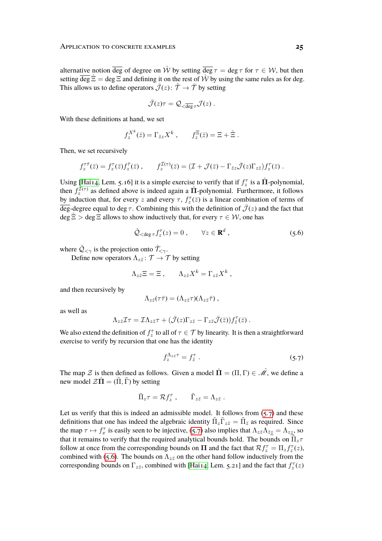alternative notion  $\overline{\text{deg}}$  of degree on  $\hat{W}$  by setting  $\overline{\text{deg}} \tau = \text{deg } \tau$  for  $\tau \in \mathcal{W}$ , but then setting deg  $\Xi$  = deg  $\Xi$  and defining it on the rest of W by using the same rules as for deg. This allows us to define operators  $\bar{J}(z)$ :  $\hat{T} \to \bar{T}$  by setting

$$
\bar{\mathcal{J}}(z)\tau = \mathcal{Q}_{\langle \overline{\deg}\tau} \mathcal{J}(z) .
$$

With these definitions at hand, we set

$$
f_z^{X^k}(\bar{z}) = \Gamma_{\bar{z}z} X^k , \qquad f_{\bar{z}}^{\Xi}(\bar{z}) = \Xi + \hat{\Xi} .
$$

Then, we set recursively

$$
f_z^{\tau \bar{\tau}}(\bar{z}) = f_z^{\tau}(\bar{z}) f_{\bar{z}}^{\bar{\tau}}(\bar{z}) , \qquad f_z^{\mathcal{I}(\tau)}(\bar{z}) = (\mathcal{I} + \mathcal{J}(\bar{z}) - \Gamma_{\bar{z}z} \bar{\mathcal{J}}(z) \Gamma_{z\bar{z}}) f_z^{\tau}(\bar{z}) .
$$

Using [\[Hai14,](#page-32-4) Lem. 5.16] it is a simple exercise to verify that if  $f_z^{\tau}$  is a  $\hat{\Pi}$ -polynomial, then  $f_z^{\mathcal{I}(\tau)}$  as defined above is indeed again a  $\hat{\Pi}$ -polynomial. Furthermore, it follows by induction that, for every z and every  $\tau$ ,  $f_z^{\tau}(\bar{z})$  is a linear combination of terms of deg-degree equal to deg  $\tau$ . Combining this with the definition of  $\bar{\mathcal{J}}(z)$  and the fact that  $\deg \hat{\Xi} > \deg \Xi$  allows to show inductively that, for every  $\tau \in \mathcal{W}$ , one has

<span id="page-24-1"></span>
$$
\hat{\mathcal{Q}}_{\leq \deg \tau} f_z^{\tau}(z) = 0 , \qquad \forall z \in \mathbf{R}^d , \qquad (5.6)
$$

where  $\hat{Q}_{\leq \gamma}$  is the projection onto  $\hat{\mathcal{T}}_{\leq \gamma}$ .

Define now operators  $\Lambda_{z\bar{z}}$ :  $\mathcal{T} \to \mathcal{T}$  by setting

$$
\Lambda_{z\bar{z}}\Xi=\Xi\ ,\qquad \Lambda_{z\bar{z}}X^k=\Gamma_{z\bar{z}}X^k\ ,
$$

and then recursively by

$$
\Lambda_{z\bar{z}}(\tau\bar{\tau})=(\Lambda_{z\bar{z}}\tau)(\Lambda_{z\bar{z}}\bar{\tau}) ,
$$

as well as

$$
\Lambda_{z\bar{z}}\mathcal{I}\tau=\mathcal{I}\Lambda_{z\bar{z}}\tau+(\bar{\mathcal{J}}(z)\Gamma_{z\bar{z}}-\Gamma_{z\bar{z}}\bar{\mathcal{J}}(\bar{z}))f^{\tau}_{\bar{z}}(\bar{z}).
$$

We also extend the definition of  $f_z^{\tau}$  to all of  $\tau \in \mathcal{T}$  by linearity. It is then a straightforward exercise to verify by recursion that one has the identity

<span id="page-24-0"></span>
$$
f_z^{\Lambda_{z\bar{z}}\tau} = f_{\bar{z}}^{\tau} \tag{5.7}
$$

The map Z is then defined as follows. Given a model  $\hat{\Pi} = (\Pi, \Gamma) \in \hat{\mathcal{M}}$ , we define a new model  $\mathcal{Z}\Pi = (\Pi, \Gamma)$  by setting

$$
\tilde{\Pi}_z \tau = \mathcal{R} f_z^{\tau} , \qquad \tilde{\Gamma}_{z\bar{z}} = \Lambda_{z\bar{z}} .
$$

Let us verify that this is indeed an admissible model. It follows from  $(5.7)$  and these definitions that one has indeed the algebraic identity  $\tilde{\Pi}_z \tilde{\Gamma}_{z\bar{z}} = \tilde{\Pi}_{\bar{z}}$  as required. Since the map  $\tau \mapsto f_x^{\tau}$  is easily seen to be injective, [\(5.7\)](#page-24-0) also implies that  $\Lambda_{z\bar{z}}\Lambda_{\bar{z}\bar{z}}=\Lambda_{z\bar{z}}$ , so that it remains to verify that the required analytical bounds hold. The bounds on  $\tilde{\Pi}_z \tau$ follow at once from the corresponding bounds on  $\Pi$  and the fact that  $\mathcal{R}f_z^{\tau} = \Pi_z f_z^{\tau}(z)$ , combined with [\(5.6\)](#page-24-1). The bounds on  $\Lambda_{z\bar{z}}$  on the other hand follow inductively from the corresponding bounds on  $\Gamma_{z\bar{z}}$ , combined with [\[Hai14,](#page-32-4) Lem. 5.21] and the fact that  $f_z^{\tau}(z)$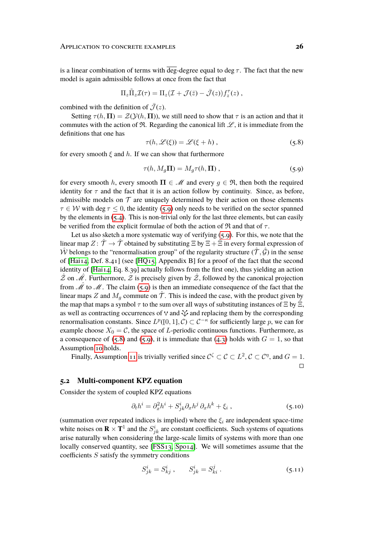is a linear combination of terms with deg-degree equal to deg  $\tau$ . The fact that the new model is again admissible follows at once from the fact that

$$
\Pi_z \tilde{\Pi}_z \mathcal{I}(\tau) = \Pi_z (\mathcal{I} + \mathcal{J}(\bar{z}) - \bar{\mathcal{J}}(z)) f_z^{\tau}(z) ,
$$

combined with the definition of  $\bar{J}(z)$ .

Setting  $\tau(h, \Pi) = \mathcal{Z}(\mathcal{Y}(h, \Pi))$ , we still need to show that  $\tau$  is an action and that it commutes with the action of  $\Re$ . Regarding the canonical lift  $\mathscr{L}$ , it is immediate from the definitions that one has

<span id="page-25-1"></span><span id="page-25-0"></span>
$$
\tau(h, \mathcal{L}(\xi)) = \mathcal{L}(\xi + h), \qquad (5.8)
$$

for every smooth  $\xi$  and h. If we can show that furthermore

$$
\tau(h, M_g \mathbf{\Pi}) = M_g \tau(h, \mathbf{\Pi}), \qquad (5.9)
$$

for every smooth h, every smooth  $\Pi \in \mathcal{M}$  and every  $g \in \mathfrak{R}$ , then both the required identity for  $\tau$  and the fact that it is an action follow by continuity. Since, as before, admissible models on  $\mathcal T$  are uniquely determined by their action on those elements  $\tau \in \mathcal{W}$  with deg  $\tau \leq 0$ , the identity [\(5.9\)](#page-25-0) only needs to be verified on the sector spanned by the elements in  $(5.4)$ . This is non-trivial only for the last three elements, but can easily be verified from the explicit formulae of both the action of  $\Re$  and that of  $\tau$ .

Let us also sketch a more systematic way of verifying [\(5.9\)](#page-25-0). For this, we note that the linear map  $Z: \hat{\mathcal{T}} \to \hat{\mathcal{T}}$  obtained by substituting  $\Xi$  by  $\Xi + \hat{\Xi}$  in every formal expression of  $\hat{W}$  belongs to the "renormalisation group" of the regularity structure  $(\hat{\mathcal{T}}, \hat{\mathcal{G}})$  in the sense of [Hai<sub>14</sub>, Def. 8.4<sub>1</sub>] (see [HQ<sub>15</sub>, Appendix B] for a proof of the fact that the second identity of [\[Hai14,](#page-32-4) Eq. 8.39] actually follows from the first one), thus yielding an action  $\hat{z}$  on  $\hat{\mathcal{M}}$ . Furthermore,  $\hat{z}$  is precisely given by  $\hat{z}$ , followed by the canonical projection from  $\hat{\mathcal{M}}$  to  $\mathcal{M}$ . The claim [\(5.9\)](#page-25-0) is then an immediate consequence of the fact that the linear maps Z and  $M_g$  commute on  $\tilde{T}$ . This is indeed the case, with the product given by the map that maps a symbol  $\tau$  to the sum over all ways of substituting instances of  $\Xi$  by  $\Xi$ , as well as contracting occurrences of  $\vee$  and  $\vee$  and replacing them by the corresponding renormalisation constants. Since  $L^p([0,1], \mathcal{C}) \subset \mathcal{C}^{-\kappa}$  for sufficiently large p, we can for example choose  $X_0 = C$ , the space of L-periodic continuous functions. Furthermore, as a consequence of [\(5.8\)](#page-25-1) and [\(5.9\)](#page-25-0), it is immediate that [\(4.3\)](#page-17-0) holds with  $G = 1$ , so that Assumption [10](#page-17-1) holds.

Finally, Assumption [11](#page-19-0) is trivially verified since  $C^{\zeta} \subset C \subset L^2$ ,  $C \subset C^{\eta}$ , and  $G = 1$ .  $\Box$ 

#### **5.2 Multi-component KPZ equation**

Consider the system of coupled KPZ equations

<span id="page-25-2"></span>
$$
\partial_t h^i = \partial_x^2 h^i + S_{jk}^i \partial_x h^j \partial_x h^k + \xi_i , \qquad (5.10)
$$

(summation over repeated indices is implied) where the  $\xi_i$  are independent space-time white noises on  $\mathbf{R} \times \mathbf{T}^1$  and the  $S^i_{jk}$  are constant coefficients. Such systems of equations arise naturally when considering the large-scale limits of systems with more than one locally conserved quantity, see [\[FSS13,](#page-32-12) [Spo14\]](#page-34-4). We will sometimes assume that the coefficients  $S$  satisfy the symmetry conditions

<span id="page-25-3"></span>
$$
S_{jk}^{i} = S_{kj}^{i} , \t S_{jk}^{i} = S_{ki}^{j} . \t (5.11)
$$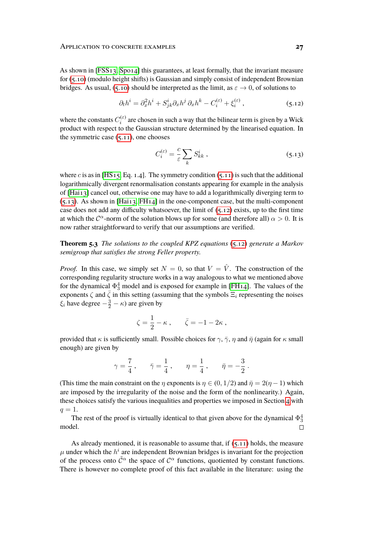As shown in [\[FSS13,](#page-32-12) [Spo14\]](#page-34-4) this guarantees, at least formally, that the invariant measure for [\(5.10\)](#page-25-2) (modulo height shifts) is Gaussian and simply consist of independent Brownian bridges. As usual, [\(5.10\)](#page-25-2) should be interpreted as the limit, as  $\varepsilon \to 0$ , of solutions to

$$
\partial_t h^i = \partial_x^2 h^i + S_{jk}^i \partial_x h^j \partial_x h^k - C_i^{(\varepsilon)} + \xi_i^{(\varepsilon)} \,, \tag{5.12}
$$

where the constants  $C_i^{(\varepsilon)}$  $\binom{c}{i}$  are chosen in such a way that the bilinear term is given by a Wick product with respect to the Gaussian structure determined by the linearised equation. In the symmetric case  $(5.11)$ , one chooses

<span id="page-26-1"></span><span id="page-26-0"></span>
$$
C_i^{(\varepsilon)} = \frac{c}{\varepsilon} \sum_k S_{kk}^i \,, \tag{5.13}
$$

where c is as in [HS<sub>15</sub>, Eq. 1.4]. The symmetry condition [\(5.11\)](#page-25-3) is such that the additional logarithmically divergent renormalisation constants appearing for example in the analysis of [\[Hai13\]](#page-32-3) cancel out, otherwise one may have to add a logarithmically diverging term to  $(5.13)$ . As shown in [\[Hai13,](#page-32-3) [FH14\]](#page-32-10) in the one-component case, but the multi-component case does not add any difficulty whatsoever, the limit of  $(5.12)$  exists, up to the first time at which the  $C^{\alpha}$ -norm of the solution blows up for some (and therefore all)  $\alpha > 0$ . It is now rather straightforward to verify that our assumptions are verified.

**Theorem 5.3** *The solutions to the coupled KPZ equations* [\(5.12\)](#page-26-1) *generate a Markov semigroup that satisfies the strong Feller property.*

*Proof.* In this case, we simply set  $N = 0$ , so that  $V = \hat{V}$ . The construction of the corresponding regularity structure works in a way analogous to what we mentioned above for the dynamical  $\Phi_3^4$  model and is exposed for example in [\[FH14\]](#page-32-10). The values of the exponents  $\zeta$  and  $\bar{\zeta}$  in this setting (assuming that the symbols  $\Xi_i$  representing the noises  $\xi_i$  have degree  $-\frac{3}{2} - \kappa$ ) are given by

$$
\zeta = \frac{1}{2} - \kappa \;, \qquad \bar{\zeta} = -1 - 2\kappa \;,
$$

provided that  $\kappa$  is sufficiently small. Possible choices for  $\gamma$ ,  $\bar{\gamma}$ ,  $\eta$  and  $\bar{\eta}$  (again for  $\kappa$  small enough) are given by

$$
\gamma = \frac{7}{4} \; , \qquad \bar{\gamma} = \frac{1}{4} \; , \qquad \eta = \frac{1}{4} \; , \qquad \bar{\eta} = -\frac{3}{2} \; .
$$

(This time the main constraint on the  $\eta$  exponents is  $\eta \in (0, 1/2)$  and  $\bar{\eta} = 2(\eta - 1)$  which are imposed by the irregularity of the noise and the form of the nonlinearity.) Again, these choices satisfy the various inequalities and properties we imposed in Section [4](#page-13-0) with  $q=1$ .

The rest of the proof is virtually identical to that given above for the dynamical  $\Phi^4_3$ model.  $\Box$ 

As already mentioned, it is reasonable to assume that, if  $(5.11)$  holds, the measure  $\mu$  under which the  $h^i$  are independent Brownian bridges is invariant for the projection of the process onto  $\tilde{\mathcal{C}}^{\alpha}$  the space of  $\mathcal{C}^{\alpha}$  functions, quotiented by constant functions. There is however no complete proof of this fact available in the literature: using the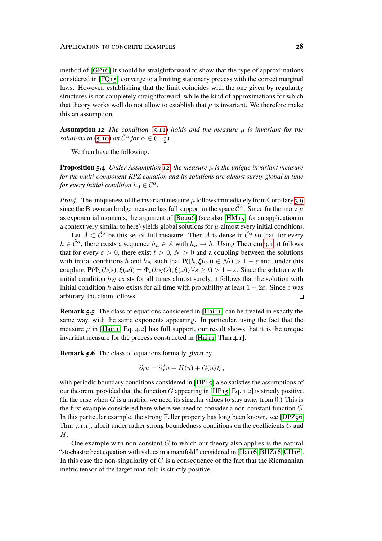method of [\[GP16\]](#page-32-13) it should be straightforward to show that the type of approximations considered in [\[FQ15\]](#page-32-11) converge to a limiting stationary process with the correct marginal laws. However, establishing that the limit coincides with the one given by regularity structures is not completely straightforward, while the kind of approximations for which that theory works well do not allow to establish that  $\mu$  is invariant. We therefore make this an assumption.

<span id="page-27-0"></span>**Assumption 12** *The condition*  $(5.11)$  *holds and the measure*  $\mu$  *is invariant for the solutions to* [\(5.10\)](#page-25-2) *on*  $\tilde{C}^{\alpha}$  *for*  $\alpha \in (0, \frac{1}{2})$  $\frac{1}{2}$ ).

We then have the following.

**Proposition 5.4** *Under Assumption [12,](#page-27-0) the measure*  $\mu$  *is the unique invariant measure for the multi-component KPZ equation and its solutions are almost surely global in time for every initial condition*  $h_0 \in C^{\alpha}$ *.* 

*Proof.* The uniqueness of the invariant measure  $\mu$  follows immediately from Corollary [3.9](#page-13-2) since the Brownian bridge measure has full support in the space  $\tilde{\mathcal{C}}^{\alpha}$ . Since furthermore  $\mu$ as exponential moments, the argument of  $[Bouq6]$  (see also  $[HM_15]$  for an application in a context very similar to here) yields global solutions for  $\mu$ -almost every initial conditions.

Let  $A \subset \tilde{\mathcal{C}}^{\alpha}$  be this set of full measure. Then A is dense in  $\tilde{\mathcal{C}}^{\alpha}$  so that, for every  $h \in \tilde{C}^{\alpha}$ , there exists a sequence  $h_n \in A$  with  $h_n \to h$ . Using Theorem [3.1,](#page-7-2) it follows that for every  $\varepsilon > 0$ , there exist  $t > 0$ ,  $N > 0$  and a coupling between the solutions with initial conditions h and  $h_N$  such that  $P((h, \xi(\omega)) \in \mathcal{N}_t) > 1 - \varepsilon$  and, under this coupling,  ${\bf P}(\Phi_s(h(s), \xi(\omega)) = \Phi_s(h_N(s), \xi(\omega)) \forall s \ge t) > 1 - \varepsilon$ . Since the solution with initial condition  $h_N$  exists for all times almost surely, it follows that the solution with initial condition h also exists for all time with probability at least  $1 - 2\varepsilon$ . Since  $\varepsilon$  was arbitrary, the claim follows.  $\Box$ 

**Remark 5.5** The class of equations considered in [Hai<sub>11</sub>] can be treated in exactly the same way, with the same exponents appearing. In particular, using the fact that the measure  $\mu$  in [\[Hai11,](#page-32-14) Eq. 4.2] has full support, our result shows that it is the unique invariant measure for the process constructed in [Hai<sub>11</sub>, Thm 4.1].

**Remark 5.6** The class of equations formally given by

$$
\partial_t u = \partial_x^2 u + H(u) + G(u)\xi ,
$$

with periodic boundary conditions considered in  $[HP_15]$  also satisfies the assumptions of our theorem, provided that the function G appearing in  $[HP15, Eq. 1.2]$  $[HP15, Eq. 1.2]$  is strictly positive. (In the case when  $G$  is a matrix, we need its singular values to stay away from 0.) This is the first example considered here where we need to consider a non-constant function G. In this particular example, the strong Feller property has long been known, see [\[DPZ96,](#page-31-4) Thm  $7.1.1$ ], albeit under rather strong boundedness conditions on the coefficients  $G$  and H.

One example with non-constant  $G$  to which our theory also applies is the natural "stochastic heat equation with values in a manifold" considered in [\[Hai16,](#page-32-15) [BHZ16,](#page-31-12) [CH16\]](#page-31-14). In this case the non-singularity of  $G$  is a consequence of the fact that the Riemannian metric tensor of the target manifold is strictly positive.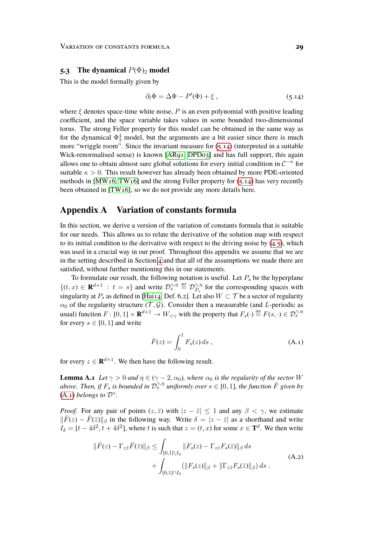#### **5.3** The dynamical  $P(\Phi)_{2}$  model

This is the model formally given by

<span id="page-28-1"></span>
$$
\partial_t \Phi = \Delta \Phi - P'(\Phi) + \xi \,, \tag{5.14}
$$

where  $\xi$  denotes space-time white noise, P is an even polynomial with positive leading coefficient, and the space variable takes values in some bounded two-dimensional torus. The strong Feller property for this model can be obtained in the same way as for the dynamical  $\Phi_3^4$  model, but the arguments are a bit easier since there is much more "wriggle room". Since the invariant measure for [\(5.14\)](#page-28-1) (interpreted in a suitable Wick-renormalised sense) is known [\[AR91,](#page-30-0) [DPD03\]](#page-31-6) and has full support, this again allows one to obtain almost sure global solutions for every initial condition in  $\mathcal{C}^{-\kappa}$  for suitable  $\kappa > 0$ . This result however has already been obtained by more PDE-oriented methods in [MW<sub>16</sub>, TW<sub>16</sub>] and the strong Feller property for  $(5.14)$  has very recently been obtained in [\[TW16\]](#page-34-3), so we do not provide any more details here.

## <span id="page-28-0"></span>**Appendix A Variation of constants formula**

In this section, we derive a version of the variation of constants formula that is suitable for our needs. This allows us to relate the derivative of the solution map with respect to its initial condition to the derivative with respect to the driving noise by  $(4.5)$ , which was used in a crucial way in our proof. Throughout this appendix we assume that we are in the setting described in Section [4](#page-13-0) and that all of the assumptions we made there are satisfied, without further mentioning this in our statements.

To formulate our result, the following notation is useful. Let  $P_s$  be the hyperplane  $\{(t, x) \in \mathbf{R}^{d+1} : t = s\}$  and write  $\mathcal{D}_{s}^{\gamma, \eta} \stackrel{\text{def}}{=} \mathcal{D}_{P_{s}}^{\gamma, \eta}$  $\hat{P}_s^{\gamma,\eta}$  for the corresponding spaces with singularity at  $P_s$  as defined in [\[Hai14,](#page-32-4) Def. 6.2]. Let also  $W \subset \mathcal{T}$  be a sector of regularity  $\alpha_0$  of the regularity structure  $(\mathcal{T}, \mathcal{G})$ . Consider then a measurable (and L-periodic as usual) function  $F: [0,1] \times \mathbf{R}^{d+1} \to W_{\leq \gamma}$  with the property that  $F_s(\cdot) \stackrel{\text{def}}{=} F(s, \cdot) \in \mathcal{D}_s^{\gamma, \eta}$ for every  $s \in [0, 1]$  and write

<span id="page-28-3"></span><span id="page-28-2"></span>
$$
\bar{F}(z) = \int_0^1 F_s(z) \, ds \,, \tag{A.1}
$$

for every  $z \in \mathbf{R}^{d+1}$ . We then have the following result.

<span id="page-28-4"></span>**Lemma A.1** *Let*  $\gamma > 0$  *and*  $\eta \in (\gamma - 2, \alpha_0)$ *, where*  $\alpha_0$  *is the regularity of the sector* W above. Then, if  $F_s$  is bounded in  $\mathcal{D}_s^{\gamma,\eta}$  uniformly over  $s \in [0,1]$ , the function  $\bar{F}$  given by  $(A.1)$  *belongs to*  $\mathcal{D}^{\gamma}$ .

*Proof.* For any pair of points  $(z, \bar{z})$  with  $|z - \bar{z}| \le 1$  and any  $\beta < \gamma$ , we estimate  $\|\bar{F}(z) - \bar{F}(\bar{z})\|_{\beta}$  in the following way. Write  $\delta = |z - \bar{z}|$  as a shorthand and write  $I_{\delta} = [t - 4\delta^2, t + 4\delta^2]$ , where t is such that  $z = (t, x)$  for some  $x \in \mathbf{T}^d$ . We then write

$$
\|\bar{F}(z) - \Gamma_{z\bar{z}}\bar{F}(\bar{z})\|_{\beta} \le \int_{[0,1]\setminus I_{\delta}} \|F_s(z) - \Gamma_{z\bar{z}}F_s(\bar{z})\|_{\beta} ds + \int_{[0,1]\cap I_{\delta}} (\|F_s(z)\|_{\beta} + \|\Gamma_{z\bar{z}}F_s(\bar{z})\|_{\beta}) ds .
$$
\n(A.2)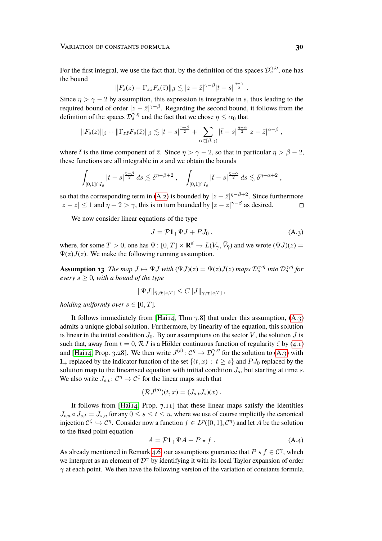For the first integral, we use the fact that, by the definition of the spaces  $\mathcal{D}_s^{\gamma,\eta}$ , one has the bound

$$
||F_s(z) - \Gamma_{z\bar{z}}F_s(\bar{z})||_{\beta} \lesssim |z - \bar{z}|^{\gamma-\beta}|t - s|^{\frac{\eta-\gamma}{2}}.
$$

Since  $\eta > \gamma - 2$  by assumption, this expression is integrable in s, thus leading to the required bound of order  $|z - \bar{z}|^{\gamma-\beta}$ . Regarding the second bound, it follows from the definition of the spaces  $\mathcal{D}_s^{\gamma,\eta}$  and the fact that we chose  $\eta \leq \alpha_0$  that

$$
||F_s(z)||_{\beta} + ||\Gamma_{z\bar{z}}F_s(\bar{z})||_{\beta} \lesssim |t-s|^{\frac{\eta-\beta}{2}} + \sum_{\alpha \in [\beta,\gamma)} |\bar{t}-s|^{\frac{\eta-\alpha}{2}}|z-\bar{z}|^{\alpha-\beta},
$$

where  $\bar{t}$  is the time component of  $\bar{z}$ . Since  $\eta > \gamma - 2$ , so that in particular  $\eta > \beta - 2$ , these functions are all integrable in  $s$  and we obtain the bounds

$$
\int_{[0,1]\cap I_\delta}|t-s|^{\frac{\eta-\beta}{2}}\,ds\lesssim \delta^{\eta-\beta+2}\;,\quad \int_{[0,1]\cap I_\delta}|\bar t-s|^{\frac{\eta-\alpha}{2}}\,ds\lesssim \delta^{\eta-\alpha+2}\;,
$$

so that the corresponding term in [\(A.2\)](#page-28-3) is bounded by  $|z - \bar{z}|^{\eta-\beta+2}$ . Since furthermore  $|z-\overline{z}| \le 1$  and  $\eta + 2 > \gamma$ , this is in turn bounded by  $|z-\overline{z}|^{\gamma-\beta}$  as desired.  $\Box$ 

We now consider linear equations of the type

<span id="page-29-0"></span>
$$
J = \mathcal{P}1_+\Psi J + PJ_0 , \qquad (A.3)
$$

where, for some  $T > 0$ , one has  $\Psi: [0, T] \times \mathbf{R}^d \to L(V_\gamma, \bar{V}_{\bar{\gamma}})$  and we wrote  $(\Psi J)(z) =$  $\Psi(z)J(z)$ . We make the following running assumption.

**Assumption 13** *The map*  $J \mapsto \Psi J$  *with*  $(\Psi J)(z) = \Psi(z)J(z)$  *maps*  $\mathcal{D}_s^{\gamma,\eta}$  *into*  $\mathcal{D}_s^{\bar{\gamma},\bar{\eta}}$  *for every*  $s > 0$ *, with a bound of the type* 

$$
\|\Psi J\|_{\bar{\gamma},\bar{\eta};[s,T]} \leq C \|J\|_{\gamma,\eta;[s,T]} \,,
$$

*holding uniformly over*  $s \in [0, T]$ *.* 

It follows immediately from [Hai<sub>14</sub>, Thm  $7.8$ ] that under this assumption,  $(A.3)$ admits a unique global solution. Furthermore, by linearity of the equation, this solution is linear in the initial condition  $J_0$ . By our assumptions on the sector V, the solution J is such that, away from  $t = 0$ ,  $\mathcal{R}J$  is a Hölder continuous function of regularity  $\zeta$  by [\(4.1\)](#page-14-1) and [\[Hai14,](#page-32-4) Prop. 3.28]. We then write  $J^{(s)}: \mathcal{C}^{\eta} \to \mathcal{D}_s^{\gamma,\eta}$  for the solution to  $(A_3)$  with 1+ replaced by the indicator function of the set  $\{(t, x) : t \ge s\}$  and  $PJ_0$  replaced by the solution map to the linearised equation with initial condition  $J_s$ , but starting at time s. We also write  $J_{s,t}$ :  $C^{\eta} \to C^{\zeta}$  for the linear maps such that

$$
(\mathcal{R}J^{(s)})(t,x)=(J_{s,t}J_s)(x).
$$

It follows from [\[Hai14,](#page-32-4) Prop. 7.11] that these linear maps satisfy the identities  $J_{t,u} \circ J_{s,t} = J_{s,u}$  for any  $0 \le s \le t \le u$ , where we use of course implicitly the canonical injection  $C^{\zeta} \hookrightarrow C^{\eta}$ . Consider now a function  $f \in L^p([0,1],\mathcal{C}^{\eta})$  and let A be the solution to the fixed point equation

<span id="page-29-1"></span>
$$
A = \mathcal{P}1_+\Psi A + P \star f \ . \tag{A.4}
$$

<span id="page-29-2"></span>As already mentioned in Remark [4.6,](#page-17-2) our assumptions guarantee that  $P \star f \in C^{\gamma}$ , which we interpret as an element of  $\mathcal{D}^{\gamma}$  by identifying it with its local Taylor expansion of order  $\gamma$  at each point. We then have the following version of the variation of constants formula.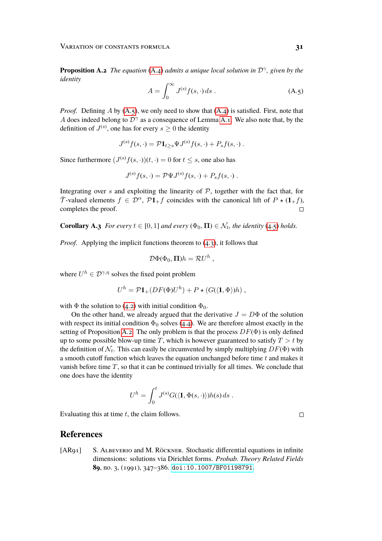**Proposition A.2** *The equation* [\(A.4\)](#page-29-1) *admits a unique local solution in*  $\mathcal{D}^{\gamma}$ , given by the *identity*

<span id="page-30-2"></span>
$$
A = \int_0^\infty J^{(s)} f(s, \cdot) ds . \tag{A.5}
$$

*Proof.* Defining A by  $(A, 5)$ , we only need to show that  $(A.4)$  is satisfied. First, note that A does indeed belong to  $\mathcal{D}^{\gamma}$  as a consequence of Lemma [A.1.](#page-28-4) We also note that, by the definition of  $J^{(s)}$ , one has for every  $s \geq 0$  the identity

$$
J^{(s)}f(s,\cdot) = \mathcal{P} \mathbf{1}_{t\geq s} \Psi J^{(s)}f(s,\cdot) + P_s f(s,\cdot) .
$$

Since furthermore  $(J^{(s)}f(s, \cdot))(t, \cdot) = 0$  for  $t \leq s$ , one also has

$$
J^{(s)}f(s,\cdot) = \mathcal{P}\Psi J^{(s)}f(s,\cdot) + P_s f(s,\cdot) .
$$

Integrating over s and exploiting the linearity of  $P$ , together with the fact that, for  $\overline{\mathcal{T}}$ -valued elements  $f \in \mathcal{D}^{\alpha}$ ,  $\mathcal{P}1+f$  coincides with the canonical lift of  $P \star (1+f)$ , completes the proof.

<span id="page-30-1"></span>**Corollary A.3** *For every*  $t \in [0, 1]$  *and every*  $(\Phi_0, \Pi) \in \mathcal{N}_t$ , *the identity* [\(4.5\)](#page-20-3) *holds.* 

*Proof.* Applying the implicit functions theorem to [\(4.3\)](#page-17-0), it follows that

$$
\mathcal{D}\Phi(\Phi_0,\mathbf{\Pi})h=\mathcal{R}U^h,
$$

where  $U^h \in \mathcal{D}^{\gamma,\eta}$  solves the fixed point problem

$$
U^h = \mathcal{P}1_+(DF(\Phi)U^h) + P \star (G(\langle \mathbf{1}, \Phi \rangle)h) ,
$$

with  $\Phi$  the solution to [\(4.2\)](#page-16-0) with initial condition  $\Phi_0$ .

On the other hand, we already argued that the derivative  $J = D\Phi$  of the solution with respect its initial condition  $\Phi_0$  solves [\(4.4\)](#page-18-1). We are therefore almost exactly in the setting of Proposition [A.2.](#page-29-2) The only problem is that the process  $DF(\Phi)$  is only defined up to some possible blow-up time T, which is however guaranteed to satisfy  $T > t$  by the definition of  $\mathcal{N}_t$ . This can easily be circumvented by simply multiplying  $DF(\Phi)$  with a smooth cutoff function which leaves the equation unchanged before time  $t$  and makes it vanish before time  $T$ , so that it can be continued trivially for all times. We conclude that one does have the identity

$$
U^h = \int_0^t J^{(s)}G(\langle \mathbf{1}, \Phi(s, \cdot) \rangle)h(s) ds.
$$

Evaluating this at time  $t$ , the claim follows.

#### **References**

<span id="page-30-0"></span>[AR91] S. Albeverio and M. Röckner. Stochastic differential equations in infinite dimensions: solutions via Dirichlet forms. *Probab. Theory Related Fields* **89**, no. 3, (1991), 347–386. [doi:10.1007/BF01198791](http://dx.doi.org/10.1007/BF01198791).

 $\Box$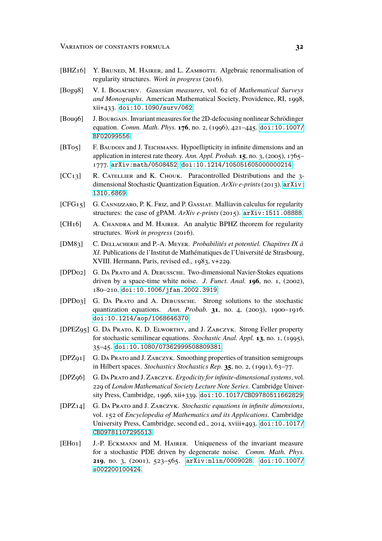- <span id="page-31-12"></span>[BHZ16] Y. BRUNED, M. HAIRER, and L. ZAMBOTTI. Algebraic renormalisation of regularity structures. *Work in progress* (2016).
- <span id="page-31-9"></span>[Bog98] V. I. Bogachev. *Gaussian measures*, vol. 62 of *Mathematical Surveys and Monographs*. American Mathematical Society, Providence, RI, 1998, xii+433. [doi:10.1090/surv/062](http://dx.doi.org/10.1090/surv/062).
- <span id="page-31-13"></span>[Bou96] J. Bourgain. Invariant measures for the 2D-defocusing nonlinear Schrödinger equation. *Comm. Math. Phys.* **176**, no. 2, (1996), 421–445. [doi:10.1007/](http://dx.doi.org/10.1007/BF02099556) [BF02099556](http://dx.doi.org/10.1007/BF02099556).
- <span id="page-31-1"></span>[BT05] F. BAUDOIN and J. TEICHMANN. Hypoellipticity in infinite dimensions and an application in interest rate theory. *Ann. Appl. Probab.* **15**, no. 3, (2005), 1765– 1777. [arXiv:math/0508452](http://arxiv.org/abs/math/0508452). [doi:10.1214/105051605000000214](http://dx.doi.org/10.1214/105051605000000214).
- <span id="page-31-8"></span>[CC13] R. CATELLIER and K. CHOUK. Paracontrolled Distributions and the 3dimensional Stochastic Quantization Equation. *ArXiv e-prints*(2013). [arXiv:](http://arxiv.org/abs/1310.6869) [1310.6869](http://arxiv.org/abs/1310.6869).
- <span id="page-31-10"></span>[CFG15] G. Cannizzaro, P. K. Friz, and P. Gassiat. Malliavin calculus for regularity structures: the case of gPAM. *ArXiv e-prints* (2015). [arXiv:1511.08888](http://arxiv.org/abs/1511.08888).
- <span id="page-31-14"></span>[CH16] A. CHANDRA and M. HAIRER. An analytic BPHZ theorem for regularity structures. *Work in progress* (2016).
- <span id="page-31-11"></span>[DM83] C. Dellacherie and P.-A. Meyer. *Probabilités et potentiel. Chapitres IX à XI*. Publications de l'Institut de Mathématiques de l'Université de Strasbourg, XVIII. Hermann, Paris, revised ed., 1983, v+229.
- <span id="page-31-7"></span>[DPD02] G. Da Prato and A. Debussche. Two-dimensional Navier-Stokes equations driven by a space-time white noise. *J. Funct. Anal.* **196**, no. 1, (2002), 180–210. [doi:10.1006/jfan.2002.3919](http://dx.doi.org/10.1006/jfan.2002.3919).
- <span id="page-31-6"></span>[DPD03] G. Da Prato and A. Debussche. Strong solutions to the stochastic quantization equations. *Ann. Probab.* **31**, no. 4, (2003), 1900–1916. [doi:10.1214/aop/1068646370](http://dx.doi.org/10.1214/aop/1068646370).
- <span id="page-31-3"></span>[DPEZ95] G. Da Prato, K. D. Elworthy, and J. Zabczyk. Strong Feller property for stochastic semilinear equations. *Stochastic Anal. Appl.* **13**, no. 1, (1995), 35–45. [doi:10.1080/07362999508809381](http://dx.doi.org/10.1080/07362999508809381).
- <span id="page-31-2"></span>[DPZ91] G. Da Prato and J. Zabczyk. Smoothing properties of transition semigroups in Hilbert spaces. *Stochastics Stochastics Rep.* **35**, no. 2, (1991), 63–77.
- <span id="page-31-4"></span>[DPZ96] G. Da Prato and J. Zabczyk. *Ergodicity for infinite-dimensional systems*, vol. 229 of *London Mathematical Society Lecture Note Series*. Cambridge University Press, Cambridge, 1996, xii+339. [doi:10.1017/CBO9780511662829](http://dx.doi.org/10.1017/CBO9780511662829).
- <span id="page-31-5"></span>[DPZ14] G. Da Prato and J. Zabczyk. *Stochastic equations in infinite dimensions*, vol. 152 of *Encyclopedia of Mathematics and its Applications*. Cambridge University Press, Cambridge, second ed., 2014, xviii+493. [doi:10.1017/](http://dx.doi.org/10.1017/CBO9781107295513) [CBO9781107295513](http://dx.doi.org/10.1017/CBO9781107295513).
- <span id="page-31-0"></span>[EH01] J.-P. Eckmann and M. Hairer. Uniqueness of the invariant measure for a stochastic PDE driven by degenerate noise. *Comm. Math. Phys.* **219**, no. 3, (2001), 523–565. [arXiv:nlin/0009028](http://arxiv.org/abs/nlin/0009028). [doi:10.1007/](http://dx.doi.org/10.1007/s002200100424) [s002200100424](http://dx.doi.org/10.1007/s002200100424).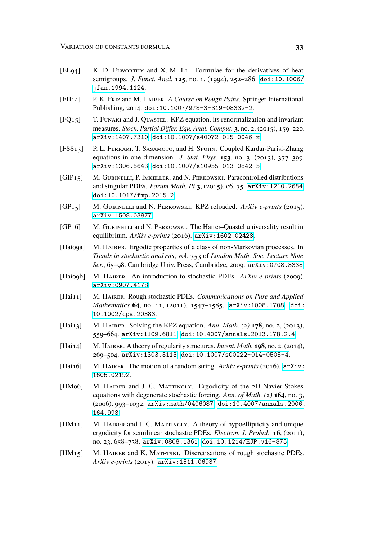- <span id="page-32-5"></span>[EL94] K. D. Elworthy and X.-M. Li. Formulae for the derivatives of heat semigroups. *J. Funct. Anal.* **125**, no. 1, (1994), 252–286. [doi:10.1006/](http://dx.doi.org/10.1006/jfan.1994.1124) [jfan.1994.1124](http://dx.doi.org/10.1006/jfan.1994.1124).
- <span id="page-32-10"></span>[FH14] P. K. Friz and M. Hairer. *A Course on Rough Paths*. Springer International Publishing, 2014. [doi:10.1007/978-3-319-08332-2](http://dx.doi.org/10.1007/978-3-319-08332-2).
- <span id="page-32-11"></span>[FQ15] T. Funaki and J. Quastel. KPZ equation, its renormalization and invariant measures. *Stoch. Partial Differ. Equ. Anal. Comput.* **3**, no. 2, (2015), 159–220. [arXiv:1407.7310](http://arxiv.org/abs/1407.7310). [doi:10.1007/s40072-015-0046-x](http://dx.doi.org/10.1007/s40072-015-0046-x).
- <span id="page-32-12"></span>[FSS13] P. L. FERRARI, T. SASAMOTO, and H. SPOHN. Coupled Kardar-Parisi-Zhang equations in one dimension. *J. Stat. Phys.* **153**, no. 3, (2013), 377–399. [arXiv:1306.5643](http://arxiv.org/abs/1306.5643). [doi:10.1007/s10955-013-0842-5](http://dx.doi.org/10.1007/s10955-013-0842-5).
- <span id="page-32-7"></span>[GIP<sub>15</sub>] M. GUBINELLI, P. IMKELLER, and N. PERKOWSKI. Paracontrolled distributions and singular PDEs. *Forum Math. Pi* **3**, (2015), e6, 75. [arXiv:1210.2684](http://arxiv.org/abs/1210.2684). [doi:10.1017/fmp.2015.2](http://dx.doi.org/10.1017/fmp.2015.2).
- <span id="page-32-8"></span>[GP15] M. GUBINELLI and N. PERKOWSKI. KPZ reloaded. ArXiv e-prints (2015). [arXiv:1508.03877](http://arxiv.org/abs/1508.03877).
- <span id="page-32-13"></span>[GP<sub>16</sub>] M. Gubinelli and N. Perkowski. The Hairer–Quastel universality result in equilibrium. *ArXiv e-prints* (2016). [arXiv:1602.02428](http://arxiv.org/abs/1602.02428).
- <span id="page-32-2"></span>[Haio9a] M. HAIRER. Ergodic properties of a class of non-Markovian processes. In *Trends in stochastic analysis*, vol. 353 of *London Math. Soc. Lecture Note Ser.*, 65–98. Cambridge Univ. Press, Cambridge, 2009. [arXiv:0708.3338](http://arxiv.org/abs/0708.3338).
- <span id="page-32-9"></span>[Haio9b] M. HAIRER. An introduction to stochastic PDEs. ArXiv e-prints (2009). [arXiv:0907.4178](http://arxiv.org/abs/0907.4178).
- <span id="page-32-14"></span>[Hai11] M. Hairer. Rough stochastic PDEs. *Communications on Pure and Applied Mathematics* **64**, no. 11, (2011), 1547–1585. [arXiv:1008.1708](http://arxiv.org/abs/1008.1708). [doi:](http://dx.doi.org/10.1002/cpa.20383) [10.1002/cpa.20383](http://dx.doi.org/10.1002/cpa.20383).
- <span id="page-32-3"></span>[Hai13] M. Hairer. Solving the KPZ equation. *Ann. Math. (2)* **178**, no. 2, (2013), 559–664. [arXiv:1109.6811](http://arxiv.org/abs/1109.6811). [doi:10.4007/annals.2013.178.2.4](http://dx.doi.org/10.4007/annals.2013.178.2.4).
- <span id="page-32-4"></span>[Hai14] M. Hairer. A theory of regularity structures. *Invent. Math.* **198**, no. 2, (2014), 269–504. [arXiv:1303.5113](http://arxiv.org/abs/1303.5113). [doi:10.1007/s00222-014-0505-4](http://dx.doi.org/10.1007/s00222-014-0505-4).
- <span id="page-32-15"></span>[Hai16] M. Hairer. The motion of a random string. *ArXiv e-prints* (2016). [arXiv:](http://arxiv.org/abs/1605.02192) [1605.02192](http://arxiv.org/abs/1605.02192).
- <span id="page-32-0"></span>[HM06] M. HAIRER and J. C. MATTINGLY. Ergodicity of the 2D Navier-Stokes equations with degenerate stochastic forcing. *Ann. of Math. (2)* **164**, no. 3, (2006), 993–1032. [arXiv:math/0406087](http://arxiv.org/abs/math/0406087). [doi:10.4007/annals.2006.](http://dx.doi.org/10.4007/annals.2006.164.993) [164.993](http://dx.doi.org/10.4007/annals.2006.164.993).
- <span id="page-32-1"></span>[HM11] M. HAIRER and J. C. MATTINGLY. A theory of hypoellipticity and unique ergodicity for semilinear stochastic PDEs. *Electron. J. Probab.* **16**, (2011), no. 23, 658–738. [arXiv:0808.1361](http://arxiv.org/abs/0808.1361). [doi:10.1214/EJP.v16-875](http://dx.doi.org/10.1214/EJP.v16-875).
- <span id="page-32-6"></span>[HM15] M. HAIRER and K. MATETSKI. Discretisations of rough stochastic PDEs. *ArXiv e-prints* (2015). [arXiv:1511.06937](http://arxiv.org/abs/1511.06937).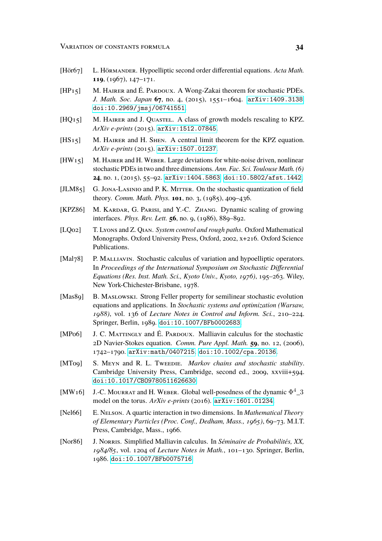- <span id="page-33-1"></span>[Hör67] L. Hörmander. Hypoelliptic second order differential equations. *Acta Math.* **119**, (1967), 147–171.
- <span id="page-33-10"></span>[HP15] M. HAIRER and É. PARDOUX. A Wong-Zakai theorem for stochastic PDEs. *J. Math. Soc. Japan* **67**, no. 4, (2015), 1551–1604. [arXiv:1409.3138](http://arxiv.org/abs/1409.3138). [doi:10.2969/jmsj/06741551](http://dx.doi.org/10.2969/jmsj/06741551).
- <span id="page-33-12"></span>[HQ15] M. HAIRER and J. QUASTEL. A class of growth models rescaling to KPZ. *ArXiv e-prints* (2015). [arXiv:1512.07845](http://arxiv.org/abs/1512.07845).
- <span id="page-33-13"></span>[HS<sub>15</sub>] M. HAIRER and H. SHEN. A central limit theorem for the KPZ equation. *ArXiv e-prints* (2015). [arXiv:1507.01237](http://arxiv.org/abs/1507.01237).
- <span id="page-33-11"></span>[HW15] M. Hairer and H. Weber. Large deviations for white-noise driven, nonlinear stochastic PDEs in two and three dimensions. *Ann. Fac. Sci. Toulouse Math. (6)* **24**, no. 1, (2015), 55–92. [arXiv:1404.5863](http://arxiv.org/abs/1404.5863). [doi:10.5802/afst.1442](http://dx.doi.org/10.5802/afst.1442).
- <span id="page-33-6"></span>[JLM85] G. Jona-Lasinio and P. K. Mitter. On the stochastic quantization of field theory. *Comm. Math. Phys.* **101**, no. 3, (1985), 409–436.
- <span id="page-33-7"></span>[KPZ86] M. KARDAR, G. PARISI, and Y.-C. ZHANG. Dynamic scaling of growing interfaces. *Phys. Rev. Lett.* **56**, no. 9, (1986), 889–892.
- <span id="page-33-9"></span>[LQ02] T. Lyons and Z. Qian. *System control and rough paths*. Oxford Mathematical Monographs. Oxford University Press, Oxford, 2002, x+216. Oxford Science Publications.
- <span id="page-33-2"></span>[Mal78] P. MALLIAVIN. Stochastic calculus of variation and hypoelliptic operators. In *Proceedings of the International Symposium on Stochastic Differential Equations (Res. Inst. Math. Sci., Kyoto Univ., Kyoto, 1976)*, 195–263. Wiley, New York-Chichester-Brisbane, 1978.
- <span id="page-33-5"></span>[Mas89] B. MASLOWSKI. Strong Feller property for semilinear stochastic evolution equations and applications. In *Stochastic systems and optimization (Warsaw, 1988)*, vol. 136 of *Lecture Notes in Control and Inform. Sci.*, 210–224. Springer, Berlin, 1989. [doi:10.1007/BFb0002683](http://dx.doi.org/10.1007/BFb0002683).
- <span id="page-33-4"></span>[MP06] J. C. MATTINGLY and É. PARDOUX. Malliavin calculus for the stochastic 2D Navier-Stokes equation. *Comm. Pure Appl. Math.* **59**, no. 12, (2006), 1742–1790. [arXiv:math/0407215](http://arxiv.org/abs/math/0407215). [doi:10.1002/cpa.20136](http://dx.doi.org/10.1002/cpa.20136).
- <span id="page-33-0"></span>[MT09] S. Meyn and R. L. Tweedie. *Markov chains and stochastic stability*. Cambridge University Press, Cambridge, second ed., 2009, xxviii+594. [doi:10.1017/CBO9780511626630](http://dx.doi.org/10.1017/CBO9780511626630).
- <span id="page-33-14"></span>[MW16] J.-C. MOURRAT and H. WEBER. Global well-posedness of the dynamic  $\Phi^4$  3 model on the torus. *ArXiv e-prints* (2016). [arXiv:1601.01234](http://arxiv.org/abs/1601.01234).
- <span id="page-33-8"></span>[Nel66] E. Nelson. A quartic interaction in two dimensions. In *Mathematical Theory of Elementary Particles (Proc. Conf., Dedham, Mass., 1965)*, 69–73. M.I.T. Press, Cambridge, Mass., 1966.
- <span id="page-33-3"></span>[Nor86] J. Norris. Simplified Malliavin calculus. In *Séminaire de Probabilités, XX, 1984/85*, vol. 1204 of *Lecture Notes in Math.*, 101–130. Springer, Berlin, 1986. [doi:10.1007/BFb0075716](http://dx.doi.org/10.1007/BFb0075716).